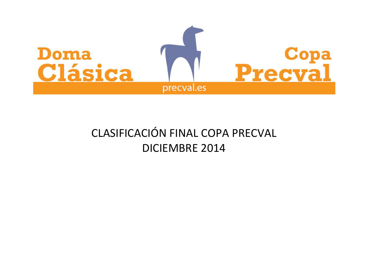

# CLASIFICACIÓN FINAL COPA PRECVAL DICIEMBRE 2014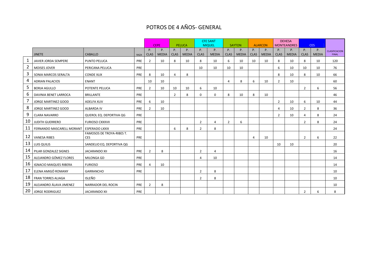## POTROS DE 4 AÑOS- GENERAL

|                |                               |                                                |             |                | <b>CEPE</b>  |                | <b>PELUCA</b> |                | <b>CFE SANT</b><br><b>MIQUEL</b> |                | <b>SAYTON</b> |             | <b>ALARCON</b> |                | <b>DEHESA</b><br><b>MONTEANDRES</b> |                | <b>CES</b>   |                      |
|----------------|-------------------------------|------------------------------------------------|-------------|----------------|--------------|----------------|---------------|----------------|----------------------------------|----------------|---------------|-------------|----------------|----------------|-------------------------------------|----------------|--------------|----------------------|
|                |                               |                                                |             | P.             | P.           | P.             | P.            | P.             | P.                               | P.             | P.            | P.          | P.             | P.             | P.                                  | P.             | Ρ.           | <b>CLASIFICACION</b> |
|                | <b>JINETE</b>                 | CABALLO                                        | <b>RAZA</b> | <b>CLAS</b>    | <b>MEDIA</b> | <b>CLAS</b>    | <b>MEDIA</b>  | <b>CLAS</b>    | <b>MEDIA</b>                     | <b>CLAS</b>    | <b>MEDIA</b>  | <b>CLAS</b> | <b>MEDIA</b>   | <b>CLAS</b>    | <b>MEDIA</b>                        | <b>CLAS</b>    | <b>MEDIA</b> | <b>FINAL</b>         |
| $\mathbf{1}$   | JAVIER JORDA SEMPERE          | PUNTO PELUCA                                   | PRE         | $\overline{2}$ | 10           | 8              | 10            | 8              | 10                               | 6              | 10            | 10          | 10             | 8              | 10                                  | 8              | 10           | 120                  |
| $\overline{2}$ | <b>MOISES JOVER</b>           | PERICANA PELUCA                                | PRE         |                |              |                |               | 10             | 10                               | 10             | 10            |             |                | 6              | 10                                  | 10             | 10           | 76                   |
| 3              | SONIA MARCOS SERALTA          | <b>CONDE XLIX</b>                              | PRE         | 8              | 10           | 4              | 8             |                |                                  |                |               |             |                | 8              | 10                                  | 8              | 10           | 66                   |
| 4              | <b>ADRIAN PALACIOS</b>        | <b>ENANT</b>                                   |             | 10             | 10           |                |               |                |                                  | 4              | 8             | 6           | 10             | $\overline{2}$ | 10                                  |                |              | 60                   |
| 5              | <b>BORJA AGULLO</b>           | POTENTE PELUCA                                 | PRE         | $\overline{2}$ | 10           | 10             | 10            | 6              | 10                               |                |               |             |                |                |                                     | $\overline{2}$ | 6            | 56                   |
| 6              | DAVINIA BENET LARROCA         | <b>BRILLANTE</b>                               | PRE         |                |              | $\overline{2}$ | 8             | 0              | $\mathbf 0$                      | 8              | 10            | 8           | 10             |                |                                     |                |              | 46                   |
| 7              | <b>JORGE MARTINEZ GOOD</b>    | <b>ADELFA XLIV</b>                             | PRE         | 6              | 10           |                |               |                |                                  |                |               |             |                | $\overline{2}$ | 10                                  | 6              | 10           | 44                   |
| 8              | JORGE MARTINEZ GOOD           | ALBARDA IV                                     | PRE         | $\overline{2}$ | 10           |                |               |                |                                  |                |               |             |                | 4              | 10                                  | $\overline{2}$ | 8            | 36                   |
| 9              | <b>CLARA NAVARRO</b>          | QUEROL EQ. DEPORTIVA QG                        | PRE         |                |              |                |               |                |                                  |                |               |             |                | $\overline{2}$ | 10                                  | $\overline{4}$ | 8            | 24                   |
| 10             | <b>JUDITH GUERRERO</b>        | <b>FURIOSO CXXXVII</b>                         | PRE         |                |              |                |               | $\overline{2}$ | 4                                | $\overline{2}$ | 6             |             |                |                |                                     | $\overline{2}$ | 8            | 24                   |
| 11             | FERNANDO MASCARELL MORANT     | <b>ESPERADO LXXIX</b>                          | PRE         |                |              | 6              | 8             | $\overline{2}$ | 8                                |                |               |             |                |                |                                     |                |              | 24                   |
| 12             | <b>VANESA RIBES</b>           | <b>FAMOSOS DE TROYA-RIBES T.</b><br><b>CES</b> | PRE         |                |              |                |               |                |                                  |                |               | 4           | 10             |                |                                     | $\overline{2}$ | 6            | 22                   |
| 13             | LUIS QUILIS                   | SANDELIO EQ. DEPORTIVA QG                      |             |                |              |                |               |                |                                  |                |               |             |                | 10             | 10                                  |                |              | 20                   |
| 14             | PILAR GONZALEZ SIGNES         | <b>JACARANDO XII</b>                           | PRE         | $\overline{2}$ | 8            |                |               | $\overline{2}$ | 4                                |                |               |             |                |                |                                     |                |              | 16                   |
| 15             | ALEJANDRO GÓMEZ FLORES        | MILONGA GD                                     | PRE         |                |              |                |               | 4              | 10                               |                |               |             |                |                |                                     |                |              | 14                   |
| 16             | <b>IGNACIO MAIQUES RIBERA</b> | <b>FURIOSO</b>                                 | PRE         | $\overline{a}$ | 10           |                |               |                |                                  |                |               |             |                |                |                                     |                |              | 14                   |
| 17             | ELENA AMIGÓ ROMANY            | <b>GARRANCHO</b>                               | PRE         |                |              |                |               | $\overline{2}$ | 8                                |                |               |             |                |                |                                     |                |              | 10                   |
| 18             | <b>FRAN TORRES ALIAGA</b>     | ISLEÑO                                         |             |                |              |                |               | $\overline{2}$ | 8                                |                |               |             |                |                |                                     |                |              | 10                   |
| 19             | ALEJANDRO ÁLAVA JIMENEZ       | <b>NARRADOR DEL ROCIN</b>                      | PRE         | $\overline{2}$ | 8            |                |               |                |                                  |                |               |             |                |                |                                     |                |              | 10                   |
| 20             | <b>JORGE RODRIGUEZ</b>        | <b>JACARANDO XII</b>                           | PRE         |                |              |                |               |                |                                  |                |               |             |                |                |                                     | $\overline{2}$ | 6            | 8                    |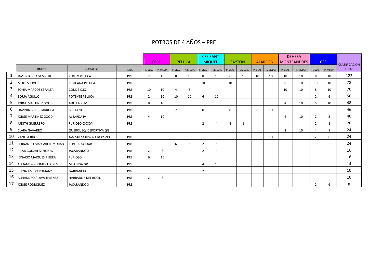## POTROS DE 4 AÑOS – PRE

|                |                                  |                               |      |                |             |                |               |                | <b>CFE SANT</b> |         |               |         |                |                | <b>DEHESA</b>      |                |                 |                      |
|----------------|----------------------------------|-------------------------------|------|----------------|-------------|----------------|---------------|----------------|-----------------|---------|---------------|---------|----------------|----------------|--------------------|----------------|-----------------|----------------------|
|                |                                  |                               |      |                | <b>CEPE</b> |                | <b>PELUCA</b> |                | <b>MIQUEL</b>   |         | <b>SAYTON</b> |         | <b>ALARCON</b> |                | <b>MONTEANDRES</b> |                | CES <sup></sup> | <b>CLASIFICACION</b> |
|                | <b>JINETE</b>                    | <b>CABALLO</b>                | RAZA | P. CLAS        | P. MEDIA    | P. CLAS        | P. MEDIA      | P. CLAS        | P. MEDIA        | P. CLAS | P. MEDIA      | P. CLAS | P. MEDIA       | P. CLAS        | P. MEDIA           | P. CLAS        | P. MEDIA        | <b>FINAL</b>         |
|                | JAVIER JORDA SEMPERE             | PUNTO PELUCA                  | PRE  | $\overline{2}$ | 10          | 8              | 10            | 8              | 10              | 6       | 10            | 10      | 10             | 10             | 10                 | 8              | 10              | 122                  |
| $\overline{2}$ | <b>MOISES JOVER</b>              | PERICANA PELUCA               | PRE  |                |             |                |               | 10             | 10              | 10      | 10            |         |                | 8              | 10                 | 10             | 10              | 78                   |
| 3              | <b>SONIA MARCOS SERALTA</b>      | <b>CONDE XLIX</b>             | PRE  | 10             | 10          | $\Delta$       | 8             |                |                 |         |               |         |                | 10             | 10                 | 8              | 10              | 70                   |
| 4              | <b>BORJA AGULLO</b>              | POTENTE PELUCA                | PRE  | $\overline{2}$ | 10          | 10             | 10            | 6              | 10              |         |               |         |                |                |                    | $\overline{2}$ | 6               | 56                   |
| 5              | JORGE MARTINEZ GOOD              | <b>ADELFA XLIV</b>            | PRE  | 8              | 10          |                |               |                |                 |         |               |         |                | $\Delta$       | 10                 | 6              | 10              | 48                   |
| 6              | DAVINIA BENET LARROCA            | <b>BRILLANTE</b>              | PRE  |                |             | $\overline{2}$ | 8             | $\mathbf 0$    | $\mathbf 0$     | 8       | 10            | 8       | 10             |                |                    |                |                 | 46                   |
| 7              | JORGE MARTINEZ GOOD              | ALBARDA IV                    | PRE  |                | 10          |                |               |                |                 |         |               |         |                | 6              | 10                 | $\overline{2}$ | 8               | 40                   |
| 8              | <b>JUDITH GUERRERO</b>           | <b>FURIOSO CXXXVII</b>        | PRE  |                |             |                |               | $\overline{2}$ |                 | 4       | 6             |         |                |                |                    | $\overline{2}$ | 8               | 26                   |
| 9              | <b>CLARA NAVARRO</b>             | QUEROL EQ. DEPORTIVA QG       |      |                |             |                |               |                |                 |         |               |         |                | $\overline{2}$ | 10                 | $\Delta$       | 8               | 24                   |
| 10             | <b>VANESA RIBES</b>              | FAMOSO DE TROYA- RIBES T. CES | PRE  |                |             |                |               |                |                 |         |               | 6       | 10             |                |                    | 2              | 6               | 24                   |
| 11             | <b>FERNANDO MASCARELL MORANT</b> | <b>ESPERADO LXXIX</b>         | PRE  |                |             | 6              | 8             | $\overline{2}$ | 8               |         |               |         |                |                |                    |                |                 | 24                   |
| 12             | <b>PILAR GONZALEZ SIGNES</b>     | <b>JACARANDO X</b>            | PRE  | 2              | 8           |                |               | $\overline{2}$ |                 |         |               |         |                |                |                    |                |                 | 16                   |
| 13             | <b>IGNACIO MAIQUES RIBERA</b>    | <b>FURIOSO</b>                | PRE  | 6              | 10          |                |               |                |                 |         |               |         |                |                |                    |                |                 | 16                   |
| 14             | ALEJANDRO GÓMEZ FLORES           | MILONGA GD                    | PRE  |                |             |                |               | 4              | 10              |         |               |         |                |                |                    |                |                 | 14                   |
| 15             | ELENA AMIGÓ ROMANY               | <b>GARRANCHO</b>              | PRE  |                |             |                |               | $\overline{2}$ | 8               |         |               |         |                |                |                    |                |                 | 10                   |
| 16             | ALEJANDRO ÁLAVA JIMENEZ          | NARRADOR DEL ROCIN            | PRE  | 2              | 8           |                |               |                |                 |         |               |         |                |                |                    |                |                 | 10                   |
| 17             | JORGE RODRIGUEZ                  | <b>JACARANDO X</b>            | PRE  |                |             |                |               |                |                 |         |               |         |                |                |                    | $\overline{z}$ |                 | 8                    |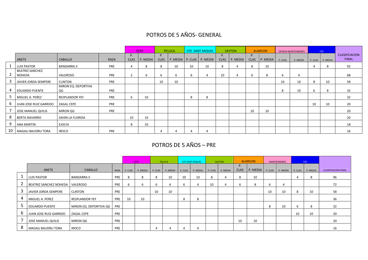# POTROS DE 5 AÑOS- GENERAL

|    |                                  |                           |      |                   | <b>CEPE</b> |                   | <b>PELUCA</b>                 |    | <b>CFE SANT MIQUEL</b> |                   | <b>SAYTON</b>  |                   | <b>ALARCON</b>   |         | <b>DEHESA MONTEANDRES</b> |         | <b>CES</b> |                                      |
|----|----------------------------------|---------------------------|------|-------------------|-------------|-------------------|-------------------------------|----|------------------------|-------------------|----------------|-------------------|------------------|---------|---------------------------|---------|------------|--------------------------------------|
|    | <b>JINETE</b>                    | <b>CABALLO</b>            | RAZA | P.<br><b>CLAS</b> | P. MEDIA    | P.<br><b>CLAS</b> | P. MEDIA   P. CLAS   P. MEDIA |    |                        | P.<br><b>CLAS</b> | P. MEDIA       | P.<br><b>CLAS</b> | $\vert$ P. MEDIA | P. CLAS | P. MEDIA                  | P. CLAS | P. MEDIA   | <b>CLASIFICACION</b><br><b>FINAL</b> |
|    | <b>LUIS PASTOR</b>               | <b>BANDARRA II</b>        | PRE  | 4                 | 8           | 8                 | 10                            | 10 | 10                     | 8                 | $\overline{4}$ | 8                 | 10               |         |                           |         | 8          | 92                                   |
|    | <b>BEATRIZ SANCHEZ</b><br>NOHEDA | VALEROSO                  | PRE  | $\overline{2}$    | 6           | h                 | b                             | h  |                        | 10                | 4              |                   | 8                | b       | 4                         |         |            | 68                                   |
|    | JAVIER JORDA SEMPERE             | <b>CLINTON</b>            | PRE  |                   |             | 10                | 10                            |    |                        |                   |                |                   |                  | 10      | 10                        | 8       | 10         | 58                                   |
| 4  | <b>EDUARDO PUENTE</b>            | MIRON EQ. DEPORTIVA<br>QG | PRE  |                   |             |                   |                               |    |                        |                   |                |                   |                  | 8       | 10                        | h       | 8          | 32                                   |
| ⊃  | MIGUEL A. PEREZ                  | <b>RESPLANDOR YEF</b>     | PRE  | 6                 | 10          |                   |                               | 8  | 8                      |                   |                |                   |                  |         |                           |         |            | 32                                   |
|    | JUAN JOSE RUIZ GARRIDO           | <b>ZAGAL CEPE</b>         | PRE  |                   |             |                   |                               |    |                        |                   |                |                   |                  |         |                           | 10      | 10         | 20                                   |
|    | JOSE MANUEL QUILIS               | MIRON QG                  | PRE  |                   |             |                   |                               |    |                        |                   |                | 10                | 10               |         |                           |         |            | 20                                   |
| 8  | BERTA NAVARRO                    | SAHIN LA FLORIDA          |      | 10                | 10          |                   |                               |    |                        |                   |                |                   |                  |         |                           |         |            | 20                                   |
| 9  | ANA MARTIN                       | <b>EJOCHI</b>             |      | 8                 | 10          |                   |                               |    |                        |                   |                |                   |                  |         |                           |         |            | 18                                   |
| 10 | MAGALI BAUDRU TORA               | <b>IROCO</b>              | PRE  |                   |             |                   |                               |    |                        |                   |                |                   |                  |         |                           |         |            | 16                                   |

## POTROS DE 5 AÑOS – PRE

|                                   |                        |     |              | <b>CEPE</b> |         | PELUCA   |         | <b>CFE SANT MIQUEL</b> |         | SAYTON   |                   | <b>ALARCON</b> |         | <b>MONTEANDRES</b> |    | <b>CES</b> |                            |
|-----------------------------------|------------------------|-----|--------------|-------------|---------|----------|---------|------------------------|---------|----------|-------------------|----------------|---------|--------------------|----|------------|----------------------------|
| <b>JINETE</b>                     | CABALLO                |     | RAZA P. CLAS | P. MEDIA    | P. CLAS | P. MEDIA | P. CLAS | P. MEDIA               | P. CLAS | P. MEDIA | P.<br><b>CLAS</b> | P. MEDIA       | P. CLAS | P. MEDIA P. CLAS   |    | P. MEDIA   | <b>CLASIFICACION FINAL</b> |
| <b>LUIS PASTOR</b>                | <b>BANDARRA II</b>     | PRE | 8            | 8           | 8       | 10       | 10      | 10                     | 8       | 4        | 8                 | 10             |         |                    | 4  | 8          | 96                         |
| BEATRIZ SANCHEZ NOHEDA   VALEROSO |                        | PRE | b            | b.          | b       | b        | b       | 4                      | 10      | 4        | b                 | 8              | b       | 4                  |    |            | 72                         |
| JAVIER JORDA SEMPERE              | <b>CLINTON</b>         | PRE |              |             | 10      | 10       |         |                        |         |          |                   |                | 10      | 10                 | 8  | 10         | 58                         |
| MIGUEL A. PEREZ                   | RESPLANDOR YEF         | PRE | 10           | 10          |         |          | 8       | 8                      |         |          |                   |                |         |                    |    |            | 36                         |
| <b>EDUARDO PUENTE</b>             | MIRON EQ. DEPORTIVA QG | PRE |              |             |         |          |         |                        |         |          |                   |                | 8       | 10                 | 6  | 8          | 32                         |
| JUAN JOSE RUIZ GARRIDO            | <b>ZAGAL CEPE</b>      | PRE |              |             |         |          |         |                        |         |          |                   |                |         |                    | 10 | 10         | 20                         |
| JOSE MANUEL QUILIS                | MIRON QG               | PRE |              |             |         |          |         |                        |         |          | 10                | 10             |         |                    |    |            | 20                         |
| MAGALI BAUDRU TORA                | <b>IROCO</b>           | PRE |              |             |         |          |         |                        |         |          |                   |                |         |                    |    |            | 16                         |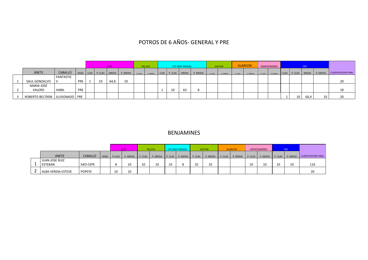## POTROS DE 6 AÑOS- GENERAL Y PRE

|                                    |              |            |    | <b>CEPE</b> |                                          | PELUCA   |    | <b>CFE SANT MIQUEL</b> |                             |         | <b>SAYTON</b> |         | <b>ALARCON</b>            | <b>MONTEANDRES</b> |    | CES  |                             |                            |
|------------------------------------|--------------|------------|----|-------------|------------------------------------------|----------|----|------------------------|-----------------------------|---------|---------------|---------|---------------------------|--------------------|----|------|-----------------------------|----------------------------|
| <b>JINETE</b>                      | CABALLO      |            |    |             | RAZA CLAS P. CLAS MEDIA P. MEDIA P. CLAS | P. MEDIA |    |                        | CLAS P. CLAS MEDIA P. MEDIA | P. CLAS | P. MEDIA      | P. CLAS | P. MEDIA P. CLAS P. MEDIA |                    |    |      | CLAS P. CLAS MEDIA P. MEDIA | <b>CLASIFICACION FINAL</b> |
|                                    | FANTASTIC    |            |    |             |                                          |          |    |                        |                             |         |               |         |                           |                    |    |      |                             |                            |
| SAUL GONZALVO                      |              | <b>PRE</b> | 10 | 64,8        | 10                                       |          |    |                        |                             |         |               |         |                           |                    |    |      |                             | 20                         |
| MARIA JOSÉ                         |              |            |    |             |                                          |          |    |                        |                             |         |               |         |                           |                    |    |      |                             |                            |
| VALERO                             | <b>HABIL</b> | <b>PRE</b> |    |             |                                          |          | 10 | 63                     | O                           |         |               |         |                           |                    |    |      |                             | 18                         |
| ROBERTO BELTRÁN   ILUSIONADO   PRE |              |            |    |             |                                          |          |    |                        |                             |         |               |         |                           |                    | 10 | 66,4 | 10 <sub>1</sub>             | 20                         |

#### BENJAMINES

|                    |                |      |        | <b>CEPE</b> |         | PELUCA |    | <b>CFE SANT MIQUEL</b>            |    | <b>SAYTON</b>    | <b>ALARCON</b> |         | <b>MONTEANDRES</b> |         | <b>CES</b> |                            |
|--------------------|----------------|------|--------|-------------|---------|--------|----|-----------------------------------|----|------------------|----------------|---------|--------------------|---------|------------|----------------------------|
| <b>JINETE</b>      | <b>CABALLO</b> | RAZA | P.CLAS | P. MEDIA    | P. CLAS |        |    | P. MEDIA P. CLAS P. MEDIA P. CLAS |    | P. MEDIA P. CLAS | P. MEDIA       | P. CLAS | P. MEDIA           | P. CLAS | P. MEDIA   | <b>CLASIFICACION FINAL</b> |
| JUAN JOSE RUIZ     |                |      |        |             |         |        |    |                                   |    |                  |                |         |                    |         |            |                            |
| ESTEBAN            | AXO CEPE       |      |        | 10          | 10      | 10     | 10 |                                   | 10 | 10               |                | 10      | 10                 | 10      | 10         | 116                        |
| ALBA VERDIA ESTEVE | <b>POPEYE</b>  |      | 10     | 10          |         |        |    |                                   |    |                  |                |         |                    |         |            | 20                         |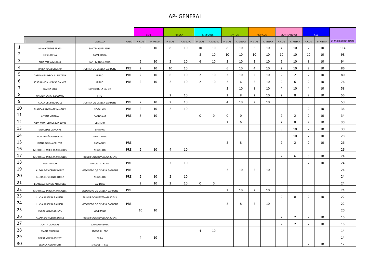#### AP- GENERAL

|                |                                |                            |            |                | <b>CEPE</b> |                | PELUCA   |                | S. MIQUEL   |                | <b>SAYTON</b> |                | <b>ALARCON</b> |                | <b>MONTEANDRES</b> |                | CES <sup>1</sup> |                            |
|----------------|--------------------------------|----------------------------|------------|----------------|-------------|----------------|----------|----------------|-------------|----------------|---------------|----------------|----------------|----------------|--------------------|----------------|------------------|----------------------------|
|                | <b>JINETE</b>                  | <b>CABALLO</b>             | RAZA       | P. CLAS        | P. MEDIA    | P. CLAS        | P. MEDIA | P. CLAS        | P. MEDIA    | P. CLAS        | P. MEDIA      | P. CLAS        | P. MEDIA       | P. CLAS        | P. MEDIA           | P. CLAS        | P. MEDIA         | <b>CLASIFICACION FINAL</b> |
| $\mathbf{1}$   | ANNA CANTOS PRATS              | SANT MIQUEL ASHA           |            | 6              | 10          | 8              | 10       | 10             | 10          | 8              | 10            | 6              | 10             | $\overline{4}$ | 10                 | $\overline{2}$ | 10               | 114                        |
| $\overline{2}$ | INES LAPEÑA                    | CAMP-DORA                  |            |                |             |                |          | 8              | 10          | 10             | 10            | 10             | 10             | 10             | 10                 | 10             | 10               | 98                         |
| 3              | ALBA MORA MORELL               | SANT MIQUEL ASHA           |            | 2              | 10          | $\overline{2}$ | 10       | 6              | 10          | $\overline{2}$ | 10            | $\overline{2}$ | 10             | $\overline{2}$ | 10                 | 8              | 10               | 94                         |
| 4              | MARIA RUIZ BORDERIA            | JUPITER QG DEVESA GARDENS  | PRE        | 2              | 10          | 10             | 10       |                |             | 6              | 10            | 4              | 10             | $\overline{2}$ | 10                 | $\overline{2}$ | 10               | 86                         |
| 5              | DARIO ALBUIXECH ALBUIXECH      | <b>ISLERO</b>              | PRE        | $\overline{2}$ | 10          | 6              | 10       | $\overline{2}$ | 10          | $\overline{2}$ | 10            | $\overline{2}$ | 10             | $\overline{2}$ | $\overline{2}$     | $\overline{2}$ | 10               | 80                         |
| 6              | JOSE RAMON HERVAS CALVET       | <b>ISLERO</b>              | PRE        | $\overline{2}$ | 10          | $\overline{2}$ | 10       | $\overline{2}$ | 10          | $\overline{2}$ | 6             | $\overline{2}$ | 10             | $\overline{2}$ | 6                  | $\overline{2}$ | 10               | 76                         |
| $\overline{7}$ | <b>BLANCA COLL</b>             | COPITO DE LA SAFOR         |            |                |             |                |          |                |             | $\overline{2}$ | 10            | 8              | 10             | 4              | 10                 | 4              | 10               | 58                         |
| 8              | NATALIA SANCHEZ GOMIS          | <b>FITO</b>                |            |                |             | $\overline{2}$ | 10       |                |             | $\overline{2}$ | 8             | $\overline{2}$ | 10             | $\overline{2}$ | 8                  | 2              | 10               | 56                         |
| 9              | ALICIA DEL PINO DOLZ           | JUPITER QG DEVESA GARDENS  | PRE        | 2              | 10          | $\overline{2}$ | 10       |                |             | 4              | 10            | $\overline{2}$ | 10             |                |                    |                |                  | 50                         |
| 10             | <b>BLANCA PALOMARES ANGUIX</b> | NOGAL QG                   | PRE        | $\overline{2}$ | 10          | $\overline{2}$ | 10       |                |             |                |               |                |                |                |                    | $\overline{2}$ | 10               | 36                         |
| 11             | AITANA VINAIXA                 | DARDO AM                   | <b>PRE</b> | 8              | 10          |                |          | 0              | 0           | 0              | 0             |                |                | $\overline{2}$ | 2                  | $\overline{2}$ | 10               | 34                         |
| 12             | AIDA MONTESINOS SAN JUAN       | VENTERO                    |            |                |             |                |          |                |             | $\overline{2}$ | 6             |                |                | $\overline{2}$ | 8                  | $\overline{2}$ | 10               | 30                         |
| 13             | MERCEDES CANOVAS               | ZIPI DMA                   |            |                |             |                |          |                |             |                |               |                |                | 8              | 10                 | $\overline{2}$ | 10               | 30                         |
| 14             | NOA ALBIÑANA GARCIA            | DANDY DMA                  |            |                |             |                |          |                |             |                |               |                |                | 6              | 10                 | $\overline{2}$ | 10               | 28                         |
| 15             | DIANA OSUNA ORLOVA             | CAMARON                    | PRE        |                |             |                |          |                |             | $\overline{2}$ | 8             |                |                | $\overline{2}$ | $\overline{2}$     | $\overline{2}$ | 10               | 26                         |
| 16             | MERITXELL BARBERA MIRALLES     | NOGAL QG                   | PRE        | $\overline{2}$ | 10          | $\overline{4}$ | 10       |                |             |                |               |                |                |                |                    |                |                  | 26                         |
| 17             | MERITXELL BARBERA MIRALLES     | PRINCIPE QG DEVESA GARDENS |            |                |             |                |          |                |             |                |               |                |                | $\overline{2}$ | 6                  | 6              | 10               | 24                         |
| 18             | VIGO ANDUIX                    | <b>FAVORITA LXXXIV</b>     | PRE        |                |             | $\overline{2}$ | 10       |                |             |                |               |                |                |                |                    | $\overline{2}$ | 10               | 24                         |
| 19             | ALEXIA DE VICENTE LOPEZ        | MESONERO QG DEVESA GARDENS | <b>PRE</b> |                |             |                |          |                |             | $\overline{2}$ | 10            | $\overline{2}$ | 10             |                |                    |                |                  | 24                         |
| 20             | ALEXIA DE VICENTE LOPEZ        | NOGAL QG                   | PRE        | $\overline{2}$ | 10          | $\overline{2}$ | 10       |                |             |                |               |                |                |                |                    |                |                  | 24                         |
| 21             | BLANCA ARLANDIS ALBEROLA       | CARLOTA                    |            | $\overline{2}$ | 10          | $\overline{2}$ | 10       | 0              | $\mathbf 0$ |                |               |                |                |                |                    |                |                  | 24                         |
| 22             | MERITXELL BARBERA MIRALLES     | MESONERO QG DEVESA GARDENS | PRE        |                |             |                |          |                |             | $\overline{2}$ | 10            | $\overline{2}$ | 10             |                |                    |                |                  | 24                         |
| 23             | LUCIA BARBERA RAUSELL          | PRINCIPE QG DEVESA GARDENS |            |                |             |                |          |                |             |                |               |                |                | $\overline{2}$ | 8                  | $\overline{2}$ | 10               | 22                         |
| 24             | LUCIA BARBERA RAUSELL          | MESONERO QG DEVESA GARDENS | <b>PRE</b> |                |             |                |          |                |             | $\overline{2}$ | 8             | $\overline{2}$ | 10             |                |                    |                |                  | 22                         |
| 25             | ROCIO VERDIA ESTEVE            | SOBERANO                   |            | 10             | 10          |                |          |                |             |                |               |                |                |                |                    |                |                  | 20                         |
| 26             | ALEXIA DE VICENTE LOPEZ        | PRINCIPE QG DEVESA GARDENS |            |                |             |                |          |                |             |                |               |                |                | $\overline{2}$ | 2                  | $\overline{2}$ | 10               | 16                         |
| 27             | JOVITA CANOVAS                 | CAMARON DMA                |            |                |             |                |          |                |             |                |               |                |                | $\overline{2}$ | $\overline{2}$     | $\overline{2}$ | 10               | 16                         |
| 28             | MARIA MURILLO                  | SPOOT RIU SEC              |            |                |             |                |          | 4              | 10          |                |               |                |                |                |                    |                |                  | 14                         |
| 29             | ROCIO VERDIA ESTEVE            | BAILA                      |            | 4              | 10          |                |          |                |             |                |               |                |                |                |                    |                |                  | 14                         |
| 30             | <b>BLANCA AGRAMUNT</b>         | SPAGUETTI CES              |            |                |             |                |          |                |             |                |               |                |                |                |                    | $\overline{2}$ | 10               | 12                         |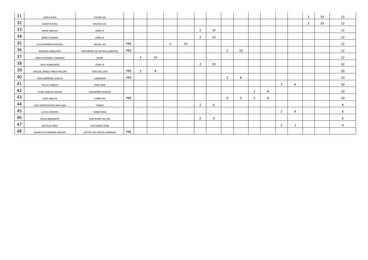| 31 | CARLA GOIG                | <b>SUGAR CES</b>           |     |                |    |   |    |                |                |                |             |                |   |                |                | $\overline{2}$ | 10 | 12               |
|----|---------------------------|----------------------------|-----|----------------|----|---|----|----------------|----------------|----------------|-------------|----------------|---|----------------|----------------|----------------|----|------------------|
| 32 | ALBERTA ROIG              | MILESIA CES                |     |                |    |   |    |                |                |                |             |                |   |                |                | $\overline{2}$ | 10 | 12               |
| 33 | <b>IRENE SANCHO</b>       | <b>ZORA LP</b>             |     |                |    |   |    | $\overline{2}$ | 10             |                |             |                |   |                |                |                |    | 12               |
| 34 | <b>IZARA FAJARDO</b>      | <b>ZORA LP</b>             |     |                |    |   |    | $\overline{2}$ | 10             |                |             |                |   |                |                |                |    | 12               |
| 35 | LUCIA BARBERA RAUSELL     | NOGAL QG                   | PRE |                |    | 2 | 10 |                |                |                |             |                |   |                |                |                |    | 12               |
| 36 | MALENA CABALLERO          | MESONERO QG DEVESA GARDENS | PRE |                |    |   |    |                |                | $\overline{2}$ | 10          |                |   |                |                |                |    | 12               |
| 37 | VERA ESTORNELL HERRERO    | SIGÖR                      |     | $\overline{2}$ | 10 |   |    |                |                |                |             |                |   |                |                |                |    | 12               |
| 38 | <b>VICKY RAIMUNDO</b>     | ZORA LP                    |     |                |    |   |    | $\overline{2}$ | 10             |                |             |                |   |                |                |                |    | 12               |
| 39 | MIGUEL ANGEL PABLO MILLÁN | <b>TARTUFO CEPE</b>        | PRE | $\overline{2}$ | 8  |   |    |                |                |                |             |                |   |                |                |                |    | 10               |
| 40 | NOA ALBIÑANA GARCIA       | CAMARON                    | PRE |                |    |   |    |                |                | $\overline{2}$ | 8           |                |   |                |                |                |    | 10               |
| 41 | PAULA CABEDO              | ZAPE DMA                   |     |                |    |   |    |                |                |                |             |                |   | $\overline{2}$ | 8              |                |    | 10               |
| 42 | PILAR GARCIA CASADO       | HOGAREÑO ALRCÓN            |     |                |    |   |    |                |                |                |             | $\overline{2}$ | 8 |                |                |                |    | 10               |
| 43 | VIGO ANDUIX               | <b>CURRO XIV</b>           | PRE |                |    |   |    |                |                | $\mathbf 0$    | $\mathbf 0$ | $\overline{2}$ | 8 |                |                |                |    | 10               |
| 44 | AIDA MONTESINOS SAN JUAN  | <b>TANGO</b>               |     |                |    |   |    | $\overline{2}$ | 6              |                |             |                |   |                |                |                |    | 8                |
| 45 | LUCIA CERVERA             | <b>DANDI DMA</b>           |     |                |    |   |    |                |                |                |             |                |   | $\overline{2}$ | $\overline{4}$ |                |    | 6                |
| 46 | PAULA BENAVENT            | DON XURRY RIU SEC          |     |                |    |   |    | $\overline{2}$ | $\overline{a}$ |                |             |                |   |                |                |                |    | $6 \overline{6}$ |
| 47 | NATALIA GRAU              | DESTINADO DMA              |     |                |    |   |    |                |                |                |             |                |   | $\overline{2}$ | $\overline{2}$ |                |    | $\overline{4}$   |
| 48 | BLANCA PALOMARES ANGUIX   | JUPITER QG DEVESA GARDENS  | PRE |                |    |   |    |                |                |                |             |                |   |                |                |                |    |                  |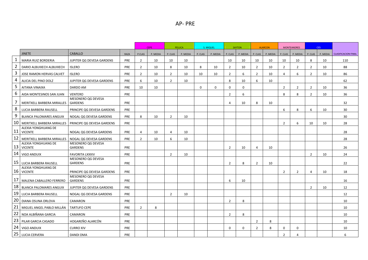|                |                                       |                                      |            |                | <b>CEPE</b> |                | PELUCA   |             | S. MIQUEL   |                | <b>SAYTON</b> |                | <b>ALARCON</b> |                | <b>MONTEANDRES</b> |                | CES <sup>1</sup> |                            |
|----------------|---------------------------------------|--------------------------------------|------------|----------------|-------------|----------------|----------|-------------|-------------|----------------|---------------|----------------|----------------|----------------|--------------------|----------------|------------------|----------------------------|
|                | <b>JINETE</b>                         | <b>CABALLO</b>                       | RAZA       | P.CLAS         | P. MEDIA    | P. CLAS        | P. MEDIA | P. CLAS     | P. MEDIA    | P. CLAS        | P. MEDIA      | P. CLAS        | P. MEDIA       | P. CLAS        | P. MEDIA           | P. CLAS        | P. MEDIA         | <b>CLASIFICACION FINAL</b> |
| $\mathbf{1}$   | <b>MARIA RUIZ BORDERIA</b>            | JUPITER QG DEVESA GARDENS            | PRE        | $\overline{2}$ | 10          | 10             | 10       |             |             | 10             | 10            | 10             | 10             | 10             | 10                 | 8              | 10               | 110                        |
| $\overline{2}$ | DARIO ALBUIXECH ALBUIXECH             | <b>ISLERO</b>                        | PRE        | $\overline{2}$ | 10          | 8              | 10       | 8           | 10          | $\overline{2}$ | 10            | $\overline{2}$ | 10             | $\overline{2}$ | $\overline{2}$     | $\overline{2}$ | 10               | 88                         |
| $\mathbf{3}$   | JOSE RAMON HERVAS CALVET              | <b>ISLERO</b>                        | <b>PRE</b> | $\overline{2}$ | 10          | $\overline{2}$ | 10       | 10          | 10          | $\overline{2}$ | 6             | $\overline{2}$ | 10             | 4              | 6                  | $\overline{2}$ | 10               | 86                         |
| 4              | ALICIA DEL PINO DOLZ                  | JUPITER QG DEVESA GARDENS            | <b>PRE</b> | 6              | 10          | $\overline{2}$ | 10       |             |             | 8              | 10            | 6              | 10             |                |                    |                |                  | 62                         |
| $5\phantom{.}$ | AITANA VINAIXA                        | DARDO AM                             | <b>PRE</b> | 10             | 10          |                |          | $\mathbf 0$ | $\mathbf 0$ | 0              | $\mathbf 0$   |                |                | $\overline{2}$ | $\overline{2}$     | $\overline{2}$ | 10               | 36                         |
| 6              | AIDA MONTESINOS SAN JUAN              | <b>VENTERO</b>                       | PRE        |                |             |                |          |             |             | $\overline{2}$ | 6             |                |                | 8              | 8                  | $\overline{2}$ | 10               | 36                         |
| $\overline{7}$ | MERITXELL BARBERA MIRALLES            | MESONERO QG DEVESA<br><b>GARDENS</b> | <b>PRE</b> |                |             |                |          |             |             | $\overline{4}$ | 10            | 8              | 10             |                |                    |                |                  | 32                         |
| 8              | LUCIA BARBERA RAUSELL                 | PRINCIPE QG DEVESA GARDENS           | PRE        |                |             |                |          |             |             |                |               |                |                | 6              | 8                  | 6              | 10               | 30                         |
| 9              | <b>BLANCA PALOMARES ANGUIX</b>        | NOGAL QG DEVESA GARDENS              | <b>PRE</b> | 8              | 10          | $\overline{2}$ | 10       |             |             |                |               |                |                |                |                    |                |                  | 30                         |
| 10             | MERITXELL BARBERA MIRALLES            | PRINCIPE QG DEVESA GARDENS           | PRE        |                |             |                |          |             |             |                |               |                |                | $\overline{2}$ | 6                  | 10             | 10               | 28                         |
| 11             | ALEXIA YONGHUANG DE<br><b>VICENTE</b> | NOGAL OG DEVESA GARDENS              | <b>PRE</b> | 4              | 10          | 4              | 10       |             |             |                |               |                |                |                |                    |                |                  | 28                         |
| 12             | MERITXELL BARBERA MIRALLES            | NOGAL QG DEVESA GARDENS              | PRE        | $\overline{2}$ | 10          | 6              | 10       |             |             |                |               |                |                |                |                    |                |                  | 28                         |
| 13             | ALEXIA YONGHUANG DE<br><b>VICENTE</b> | MESONERO QG DEVESA<br><b>GARDENS</b> | PRE        |                |             |                |          |             |             | $\overline{2}$ | 10            | 4              | 10             |                |                    |                |                  | 26                         |
|                | 14 VIGO ANDUIX                        | <b>FAVORITA LXXXIV</b>               | PRE        |                |             | $\overline{2}$ | 10       |             |             |                |               |                |                |                |                    | $\overline{2}$ | 10               | 24                         |
| 15             | LUCIA BARBERA RAUSELL                 | MESONERO QG DEVESA<br><b>GARDENS</b> | PRE        |                |             |                |          |             |             | $\overline{2}$ | 8             | $\overline{2}$ | 10             |                |                    |                |                  | 22                         |
| 16             | ALEXIA YONGHUANG DE<br><b>VICENTE</b> | PRINCIPE QG DEVESA GARDENS           | <b>PRE</b> |                |             |                |          |             |             |                |               |                |                | $\overline{2}$ | $\overline{2}$     | $\overline{4}$ | 10               | 18                         |
| 17             | MALENA CABALLERO FERRERO              | MESONERO QG DEVESA<br><b>GARDENS</b> | PRE        |                |             |                |          |             |             | 6              | 10            |                |                |                |                    |                |                  | 16                         |
| 18             | <b>BLANCA PALOMARES ANGUIX</b>        | JUPITER QG DEVESA GARDENS            | <b>PRE</b> |                |             |                |          |             |             |                |               |                |                |                |                    | $\overline{2}$ | 10               | 12                         |
| 19             | LUCIA BARBERA RAUSELL                 | NOGAL QG DEVESA GARDENS              | PRE        |                |             | $\overline{2}$ | 10       |             |             |                |               |                |                |                |                    |                |                  | 12                         |
| 20             | DIANA OSUNA ORLOVA                    | CAMARON                              | PRE        |                |             |                |          |             |             | $\overline{2}$ | 8             |                |                |                |                    |                |                  | 10                         |
| 21             | MIGUEL ANGEL PABLO MILLÁN             | <b>TARTUFO CEPE</b>                  | <b>PRE</b> | $\overline{2}$ | 8           |                |          |             |             |                |               |                |                |                |                    |                |                  | 10                         |
| 22             | NOA ALBIÑANA GARCIA                   | CAMARON                              | PRE        |                |             |                |          |             |             | $\overline{2}$ | 8             |                |                |                |                    |                |                  | 10                         |
| 23             | PILAR GARCIA CASADO                   | <b>HOGAREÑO ALARCÓN</b>              | PRE        |                |             |                |          |             |             |                |               | $\overline{2}$ | 8              |                |                    |                |                  | 10                         |
| 24             | <b>VIGO ANDUIX</b>                    | <b>CURRO XIV</b>                     | PRE        |                |             |                |          |             |             | $\mathbf 0$    | 0             | $\overline{2}$ | 8              | $\Omega$       | $\Omega$           |                |                  | 10                         |
| 25             | <b>LUCIA CERVERA</b>                  | <b>DANDI DMA</b>                     | <b>PRE</b> |                |             |                |          |             |             |                |               |                |                | 2              | $\overline{4}$     |                |                  | 6                          |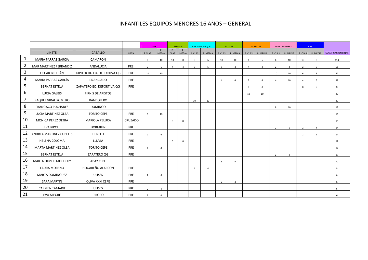#### INFANTILES EQUIPOS MENORES 16 AÑOS – GENERAL

|                |                            |                             |         | <b>CEPE</b>    |                    | PELUCA     |              |                | <b>CFE SANT MIQUEL</b> |                | SAYTON         |                | <b>ALARCON</b> |                | <b>MONTEANDRES</b> |                | CES <sup>-</sup> |                            |
|----------------|----------------------------|-----------------------------|---------|----------------|--------------------|------------|--------------|----------------|------------------------|----------------|----------------|----------------|----------------|----------------|--------------------|----------------|------------------|----------------------------|
|                | <b>JINETE</b>              | <b>CABALLO</b>              | RAZA    | P.CLAS         | P.<br><b>MEDIA</b> | P.<br>CLAS | P.<br>MEDIA  | P. CLAS        | P. MEDIA               | P. CLAS        | P. MEDIA       | P. CLAS        | P. MEDIA       | P. CLAS        | P. MEDIA           | P. CLAS        | P. MEDIA         | <b>CLASIFICACION FINAL</b> |
| 1              | MARIA PARRAS GARCÍA        | CAMARON                     |         | 6              | 10                 | 10         | 8            | 8              | 6                      | 10             | 10             | 6              | 6              | 6              | 10                 | 10             | 8                | 114                        |
| $\overline{2}$ | MAR MARTINEZ FERRANDIZ     | ANDALUCIA                   | PRE     | $\overline{2}$ | 6                  | $\Delta$   | $\mathbf{A}$ | 6              | 5                      | 8              | $\mathbf{A}$   | $\Delta$       | $\overline{4}$ | $\overline{2}$ | $\Delta$           | $\overline{z}$ | 6                | 61                         |
| 3              | OSCAR BELTRÁN              | JUPITER HG EQ. DEPORTIVA QG | PRE     | 10             | 10                 |            |              |                |                        |                |                |                |                | 10             | 10                 | 6              | 6                | 52                         |
| 4              | MARIA PARRAS GARCÍA        | <b>LICENCIADO</b>           | PRE     |                |                    |            |              |                |                        | $\overline{4}$ | $\overline{4}$ | $\overline{2}$ | $\Delta$       | $\overline{4}$ | 10                 | $\overline{4}$ | 6                | 38                         |
| 5              | <b>BERNAT ESTELA</b>       | ZAPATERO EQ. DEPORTIVA QG   | PRE     |                |                    |            |              |                |                        |                |                | 8              | 8              |                |                    | 8              | 6                | 30                         |
| 6              | <b>LUCIA GALBIS</b>        | <b>FIRNIS DE ARISTOS</b>    |         |                |                    |            |              |                |                        |                |                | 10             | 10             |                |                    |                |                  | 20                         |
| 7              | RAQUEL VIDAL ROMERO        | <b>BANDOLERO</b>            |         |                |                    |            |              | 10             | 10                     |                |                |                |                |                |                    |                |                  | 20                         |
| 8              | <b>FRANCISCO PUCHADES</b>  | <b>DOMINGO</b>              |         |                |                    |            |              |                |                        |                |                |                |                | 8              | 10                 |                |                  | 18                         |
| 9              | LUCIA MARTINEZ OLBA        | <b>TORITO CEPE</b>          | PRE     | 8              | 10                 |            |              |                |                        |                |                |                |                |                |                    |                |                  | 18                         |
| 10             | MONICA PEREZ OLTRA         | <b>MARIOLA PELUCA</b>       | CRUZADO |                |                    | 8          | 8            |                |                        |                |                |                |                |                |                    |                |                  | 16                         |
| 11             | <b>EVA RIPOLL</b>          | <b>DORMILIN</b>             | PRE     |                |                    |            |              |                |                        |                |                |                |                | $\overline{2}$ | 6                  | 2              | $\mathbf{A}$     | 14                         |
| 12             | ANDREA MARTINEZ CUBELLS    | <b>HENO H</b>               | PRE     | 2              | 6                  |            |              |                |                        |                |                |                |                |                |                    | 2              | $\overline{4}$   | 14                         |
| 13             | <b>HELENA COLOMA</b>       | LLUVIA                      | PRE     |                |                    | 6          | 6            |                |                        |                |                |                |                |                |                    |                |                  | 12                         |
| 14             | <b>MARTA MARTINEZ OLBA</b> | <b>TORITO CEPE</b>          | PRE     | $\overline{4}$ | 8                  |            |              |                |                        |                |                |                |                |                |                    |                |                  | 12                         |
| 15             | <b>BERNAT ESTELA</b>       | ZAPATERO QG                 | PRE     |                |                    |            |              |                |                        |                |                |                |                | $\overline{2}$ | 8                  |                |                  | 10                         |
| 16             | MARTA OLMOS MOCHOLY        | <b>ABAY CEPE</b>            |         |                |                    |            |              |                |                        | 6              | $\mathbf{A}$   |                |                |                |                    |                |                  | 10                         |
| 17             | <b>LAURA MORENO</b>        | HOGAREÑO ALARCON            | PRE     |                |                    |            |              | $\overline{4}$ | $\overline{4}$         |                |                |                |                |                |                    |                |                  | 8                          |
| 18             | MARTA DOMINGUEZ            | <b>ULISES</b>               | PRE     | $\overline{2}$ | 6                  |            |              |                |                        |                |                |                |                |                |                    |                |                  | $\mathbf{8}$               |
| 19             | <b>SARA MARTIN</b>         | OLIVA XXXI CEPE             | PRE     |                |                    |            |              |                |                        | $\overline{2}$ | $\overline{a}$ |                |                |                |                    |                |                  | 6                          |
| 20             | <b>CARMEN TAMARIT</b>      | <b>ULISES</b>               | PRE     | $\overline{2}$ | $\Delta$           |            |              |                |                        |                |                |                |                |                |                    |                |                  | 6                          |
| 21             | <b>EVA ALEGRE</b>          | <b>PIROPO</b>               | PRE     | $\overline{2}$ | $\overline{4}$     |            |              |                |                        |                |                |                |                |                |                    |                |                  | 6                          |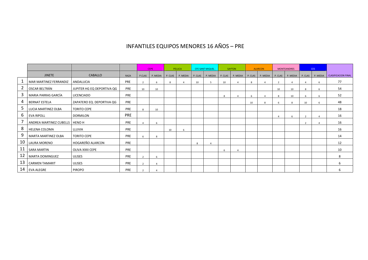#### INFANTILES EQUIPOS MENORES 16 AÑOS – PRE

|    |                         |                            |      |                | <b>CEPE</b> |         | PELUCA   |         | <b>CFE SANT MIQUEL</b> |         | SAYTON   |         | <b>ALARCON</b> |         | <b>MONTEANDRES</b> |                | <b>CES</b> |                            |
|----|-------------------------|----------------------------|------|----------------|-------------|---------|----------|---------|------------------------|---------|----------|---------|----------------|---------|--------------------|----------------|------------|----------------------------|
|    | <b>JINETE</b>           | <b>CABALLO</b>             | RAZA | P.CLAS         | P. MEDIA    | P. CLAS | P. MEDIA | P. CLAS | P. MEDIA               | P. CLAS | P. MEDIA | P. CLAS | P. MEDIA       | P. CLAS | P. MEDIA           | P. CLAS        | P. MEDIA   | <b>CLASIFICACION FINAL</b> |
|    | MAR MARTINEZ FERRANDIZ  | ANDALUCIA                  | PRE  | $\overline{z}$ |             | 8       |          | 10      | 5                      | 10      |          |         |                |         |                    |                |            | 77                         |
| 2  | OSCAR BELTRÁN           | JUPITER HG EQ DEPORTIVA QG | PRE  | 10             | 10          |         |          |         |                        |         |          |         |                | 10      | 10                 | 8              |            | 54                         |
| 3  | MARIA PARRAS GARCÍA     | <b>LICENCIADO</b>          | PRE  |                |             |         |          |         |                        | 8       |          |         |                | 8       | 10                 | 6              |            | 52                         |
| 4  | <b>BERNAT ESTELA</b>    | ZAPATERO EQ. DEPORTIVA QG  | PRE  |                |             |         |          |         |                        |         |          | 10      |                |         | 8                  | 10             |            | 48                         |
| Þ  | LUCIA MARTINEZ OLBA     | <b>TORITO CEPE</b>         | PRE  |                | 10          |         |          |         |                        |         |          |         |                |         |                    |                |            | 18                         |
| 6  | <b>EVA RIPOLL</b>       | <b>DORMILON</b>            | PRE  |                |             |         |          |         |                        |         |          |         |                |         | 6                  | $\overline{2}$ |            | 16                         |
|    | ANDREA MARTINEZ CUBELLS | <b>HENO H</b>              | PRE  |                |             |         |          |         |                        |         |          |         |                |         |                    | 2              |            | 16                         |
| 8  | <b>HELENA COLOMA</b>    | LLUVIA                     | PRE  |                |             | 10      | 6        |         |                        |         |          |         |                |         |                    |                |            | 16                         |
| 9  | MARTA MARTINEZ OLBA     | <b>TORITO CEPE</b>         | PRE  | 6              | 8           |         |          |         |                        |         |          |         |                |         |                    |                |            | 14                         |
| 10 | LAURA MORENO            | HOGAREÑO ALARCON           | PRE  |                |             |         |          | 8       | $\Delta$               |         |          |         |                |         |                    |                |            | 12                         |
| 11 | <b>SARA MARTIN</b>      | OLIVA XXXI CEPE            | PRE  |                |             |         |          |         |                        | 6       |          |         |                |         |                    |                |            | 10                         |
| 12 | <b>MARTA DOMINGUEZ</b>  | <b>ULISES</b>              | PRE  |                |             |         |          |         |                        |         |          |         |                |         |                    |                |            | 8                          |
| 13 | <b>CARMEN TAMARIT</b>   | <b>ULISES</b>              | PRE  |                |             |         |          |         |                        |         |          |         |                |         |                    |                |            | 6                          |
|    | 14 EVA ALEGRE           | <b>PIROPO</b>              | PRE  |                |             |         |          |         |                        |         |          |         |                |         |                    |                |            | 6                          |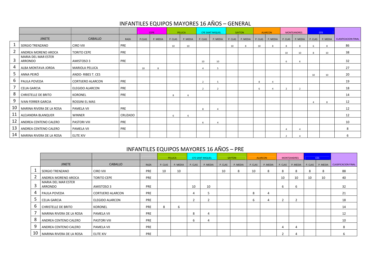## INFANTILES EQUIPOS MAYORES 16 AÑOS – GENERAL

|    |                                |                          |         |        | <b>CEPE</b> |         | PELUCA   |                | <b>CFE SANT MIQUEL</b>   |         | SAYTON   |         | <b>ALARCON</b> |         | <b>MONTEANDRES</b> |          | CES <sup>-</sup> |                            |
|----|--------------------------------|--------------------------|---------|--------|-------------|---------|----------|----------------|--------------------------|---------|----------|---------|----------------|---------|--------------------|----------|------------------|----------------------------|
|    | <b>JINETE</b>                  | <b>CABALLO</b>           | RAZA    | P.CLAS | P. MEDIA    | P. CLAS | P. MEDIA | P. CLAS        | P. MEDIA                 | P. CLAS | P. MEDIA | P. CLAS | P. MEDIA       | P. CLAS | P. MEDIA           | P. CLAS  | P. MEDIA         | <b>CLASIFICACION FINAL</b> |
|    | <b>SERGIO TRENZANO</b>         | <b>CIRO VIII</b>         | PRE     |        |             | 10      | 10       |                |                          | 10      | 8        | 10      |                | 8       | 8                  | 6        | 8                | 86                         |
|    | ANDREA MORENO AROCA            | <b>TORITO CEPE</b>       | PRE     |        |             |         |          |                |                          |         |          |         |                | 10      | 10                 | 8        | 10               | 38                         |
| 3  | MARIA DEL MAR ESTER<br>ARRONDO | AMISTOSO 3               | PRE     |        |             |         |          | 10             | 10                       |         |          |         |                | -6      |                    |          |                  | 32                         |
|    | ALBA MONTAVA JORDA             | <b>MARIOLA PELUCA</b>    |         | 10     |             |         |          |                | - 5                      |         |          |         |                |         |                    |          |                  | 27                         |
|    | ANNA PEIRÓ                     | ANDO-RIBES T. CES        |         |        |             |         |          |                |                          |         |          |         |                |         |                    | 10       | 10               | 20                         |
| b  | PAULA POVEDA                   | <b>CORTIJERO ALARCON</b> | PRE     |        |             |         |          | $\overline{2}$ | -5                       |         |          | -8      |                |         |                    |          |                  | 19                         |
|    | <b>CELIA GARCIA</b>            | <b>ELEGIDO ALARCON</b>   | PRE     |        |             |         |          | $\mathbf{r}$   | $\overline{\phantom{a}}$ |         |          |         |                |         | ຳ                  |          |                  | 18                         |
| -8 | <b>CHRISTELLE DE BRITO</b>     | KORONEL                  | PRE     |        |             | 8       |          |                |                          |         |          |         |                |         |                    |          |                  | 14                         |
| -9 | <b>IVAN FERRER GARCIA</b>      | ROSSINI EL MAS           |         |        |             |         |          |                |                          |         |          |         |                |         |                    | $\Delta$ | 8                | 12                         |
| 10 | MARINA RIVERA DE LA ROSA       | <b>PAMELA VII</b>        | PRE     |        |             |         |          | $\mathbf{R}$   | $\Lambda$                |         |          |         |                |         |                    |          |                  | 12                         |
| 11 | ALEJANDRA BLANQUER             | WINNER                   | CRUZADO |        |             | 6       |          |                |                          |         |          |         |                |         |                    |          |                  | 12                         |
| 12 | ANDREA CENTENO CALERO          | <b>PASTORI VIII</b>      | PRE     |        |             |         |          |                | $\overline{4}$           |         |          |         |                |         |                    |          |                  | 10                         |
| 13 | ANDREA CENTENO CALERO          | <b>PAMELA VII</b>        | PRE     |        |             |         |          |                |                          |         |          |         |                |         |                    |          |                  | 8                          |
|    | 14   MARINA RIVERA DE LA ROSA  | <b>ELITE XIV</b>         |         |        |             |         |          |                |                          |         |          |         |                |         |                    |          |                  | 6                          |

#### INFANTILES EQUIPOS MAYORES 16 AÑOS – PRE

|    |                                       |                    |            |         | PELUCA   |         | <b>CFE SANT MIQUEL</b> |         | <b>SAYTON</b> |         | <b>ALARCON</b> |         | <b>MONTEANDRES</b> |         | <b>CES</b> |                            |
|----|---------------------------------------|--------------------|------------|---------|----------|---------|------------------------|---------|---------------|---------|----------------|---------|--------------------|---------|------------|----------------------------|
|    |                                       |                    |            |         |          |         |                        |         |               |         |                |         |                    |         |            |                            |
|    | <b>JINETE</b>                         | CABALLO            | RAZA       | P. CLAS | P. MEDIA | P. CLAS | P. MEDIA               | P. CLAS | P. MEDIA      | P. CLAS | P. MEDIA       | P. CLAS | P. MEDIA           | P. CLAS | P. MEDIA   | <b>CLASIFICACION FINAL</b> |
|    | SERGIO TRENZANO                       | CIRO VIII          | PRE        | 10      | 10       |         |                        | 10      | 8             | 10      | 8              | 8       | 8                  | 8       | 8          | 88                         |
|    | ANDREA MORENO AROCA                   | <b>TORITO CEPE</b> | PRE        |         |          |         |                        |         |               |         |                | 10      | 10                 | 10      | 10         | 40                         |
|    | <b>MARIA DEL MAR ESTER</b><br>ARRONDO | AMISTOSO 3         | <b>PRE</b> |         |          | 10      | 10                     |         |               |         |                | b       | 6                  |         |            | 32                         |
|    | PAULA POVEDA                          | CORTIJERO ALARCON  | <b>PRE</b> |         |          | 4       | 5                      |         |               | 8       | 4              |         |                    |         |            | 21                         |
|    | <b>CELIA GARCIA</b>                   | ELEGIDO ALARCON    | <b>PRE</b> |         |          |         | $\overline{2}$         |         |               | b       | $\overline{4}$ |         | $\overline{2}$     |         |            | 18                         |
| o  | CHRISTELLE DE BRITO                   | KORONEL            | <b>PRE</b> | 8       | 6        |         |                        |         |               |         |                |         |                    |         |            | 14                         |
|    | MARINA RIVERA DE LA ROSA              | PAMELA VII         | PRE        |         |          | 8       | 4                      |         |               |         |                |         |                    |         |            | 12                         |
| 8  | ANDREA CENTENO CALERO                 | PASTORI VIII       | <b>PRE</b> |         |          | 6       | 4                      |         |               |         |                |         |                    |         |            | 10                         |
| 9  | ANDREA CENTENO CALERO                 | PAMELA VII         | <b>PRE</b> |         |          |         |                        |         |               |         |                | 4       | 4                  |         |            | 8                          |
| 10 | MARINA RIVERA DE LA ROSA              | <b>ELITE XIV</b>   | <b>PRE</b> |         |          |         |                        |         |               |         |                |         | 4                  |         |            | 6                          |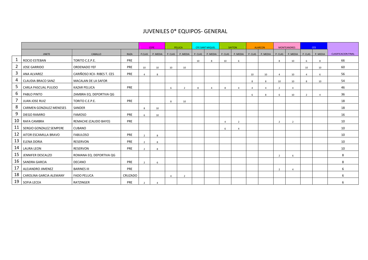#### JUVENILES 0\* EQUIPOS- GENERAL

|    |                                |                             |         |                | <b>CEPE</b>  |              | PELUCA         |              | <b>CFE SANT MIQUEL</b> |         | <b>SAYTON</b>            |              | <b>ALARCON</b> |                | <b>MONTEANDRES</b> |                | CES <sup>1</sup> |                            |
|----|--------------------------------|-----------------------------|---------|----------------|--------------|--------------|----------------|--------------|------------------------|---------|--------------------------|--------------|----------------|----------------|--------------------|----------------|------------------|----------------------------|
|    | <b>JINETE</b>                  | CABALLO                     | RAZA    | P.CLAS         | P. MEDIA     | P. CLAS      | P. MEDIA       | P. CLAS      | P. MEDIA               | P. CLAS | P. MEDIA                 | P. CLAS      | P. MEDIA       | P. CLAS        | P. MEDIA           | P. CLAS        | P. MEDIA         | <b>CLASIFICACION FINAL</b> |
|    | <b>ROCIO ESTEBAN</b>           | TORITO C.E.P.E.             | PRE     |                |              |              |                | 10           | 8                      | 10      | -6                       |              |                | 8              | 10                 | 6              | $\mathbf{R}$     | 66                         |
| 2  | <b>JOSE GARRIDO</b>            | <b>ORDENADO YEF</b>         | PRE     | 10             | 10           | 10           | 10             |              |                        |         |                          |              |                |                |                    | 10             | 10               | 60                         |
| 3  | ANA ALVAREZ                    | CARIÑOSO XCII- RIBES T. CES | PRE     | $\Delta$       | $\mathbf{R}$ |              |                |              |                        |         |                          | 10           | 10             | $\Delta$       | 10                 | $\mathbf{A}$   | 6                | 56                         |
| 4  | <b>CLAUDIA BRACO SANZ</b>      | <b>MACALAN DE LA SAFOR</b>  |         |                |              |              |                |              |                        |         |                          | 8            | 8              | 10             | 10                 | 8              | 10               | 54                         |
| 5  | CARLA PASCUAL PULIDO           | KAZAR PELUCA                | PRE     |                |              | 6            | $\overline{2}$ | $\mathbf{R}$ | $\Delta$               |         |                          | $\mathbf{A}$ | $\mathbf{A}$   | $\overline{2}$ | $\Delta$           |                |                  | 46                         |
| 6  | PABLO PINTO                    | ZAMBRA EQ. DEPORTIVA QG     |         |                |              |              |                |              |                        |         |                          | 6            | 8              | -6             | 10                 | $\overline{2}$ | $\mathbf{A}$     | 36                         |
| 7  | JUAN JOSE RUIZ                 | TORITO C.E.P.E.             | PRE     |                |              | 8            | 10             |              |                        |         |                          |              |                |                |                    |                |                  | 18                         |
| 8  | <b>CARMEN GONZALEZ MENESES</b> | SANDER                      |         | 8              | 10           |              |                |              |                        |         |                          |              |                |                |                    |                |                  | 18                         |
| 9  | DIEGO RAMIRO                   | <b>FAMOSO</b>               | PRE     | 6              | 10           |              |                |              |                        |         |                          |              |                |                |                    |                |                  | 16                         |
| 10 | RAFA CAMBRA                    | REMACHE (CALIDO BAYO)       | PRE     |                |              |              |                |              |                        |         | $\overline{\phantom{a}}$ |              |                | $\overline{2}$ | $\overline{2}$     |                |                  | 10                         |
| 11 | SERGIO GONZALEZ SEMPERE        | <b>CUBANO</b>               |         |                |              |              |                |              |                        | 6       |                          |              |                |                |                    |                |                  | 10                         |
| 12 | AITOR ESCAMILLA BRAVO          | <b>FABULOSO</b>             | PRE     | 2              | 8            |              |                |              |                        |         |                          |              |                |                |                    |                |                  | 10                         |
| 13 | <b>ELENA DORIA</b>             | <b>RESERVON</b>             | PRE     | $\overline{2}$ | $\mathbf{R}$ |              |                |              |                        |         |                          |              |                |                |                    |                |                  | 10                         |
| 14 | <b>LAURA LEON</b>              | <b>RESERVON</b>             | PRE     | $\overline{2}$ | $\mathbf{R}$ |              |                |              |                        |         |                          |              |                |                |                    |                |                  | 10                         |
| 15 | JENNIFER DESCALZO              | ROMANA EQ. DEPORTIVA QG     |         |                |              |              |                |              |                        |         |                          |              |                | $\overline{2}$ | 6                  |                |                  | 8                          |
| 16 | <b>SANDRA GARCIA</b>           | <b>DECANO</b>               | PRE     | $\overline{2}$ | 6            |              |                |              |                        |         |                          |              |                |                |                    |                |                  | 8                          |
| 17 | ALEJANDRO JIMENEZ              | <b>BARINES III</b>          | PRE     |                |              |              |                |              |                        |         |                          |              |                | $\overline{2}$ | $\overline{4}$     |                |                  | 6                          |
| 18 | CAROLINA GARCIA ALEMANY        | <b>FADO PELUCA</b>          | CRUZADO |                |              | $\mathbf{A}$ | $\overline{2}$ |              |                        |         |                          |              |                |                |                    |                |                  | 6                          |
|    | 19 SOFIA LECEA                 | RATZINGER                   | PRE     |                |              |              |                |              |                        |         |                          |              |                |                |                    |                |                  | 6                          |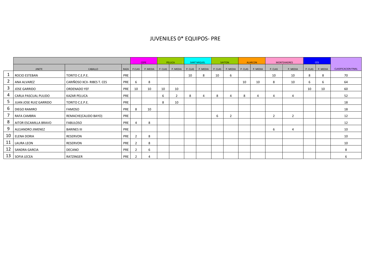#### JUVENILES 0\* EQUIPOS- PRE

|    |                        |                             |     |                | <b>CEPE</b>          |    | PELUCA           |         | <b>SANT MIQUEL</b> |         | <b>SAYTON</b>            |    | <b>ALARCON</b>   |                | <b>MONTEANDRES</b> |    | <b>CES</b>       |                            |
|----|------------------------|-----------------------------|-----|----------------|----------------------|----|------------------|---------|--------------------|---------|--------------------------|----|------------------|----------------|--------------------|----|------------------|----------------------------|
|    | <b>JINETE</b>          | CABALLO                     |     |                | RAZA P.CLAS P. MEDIA |    | P. CLAS P. MEDIA | P. CLAS | P. MEDIA           | P. CLAS | P. MEDIA                 |    | P. CLAS P. MEDIA | P. CLAS        | P. MEDIA           |    | P. CLAS P. MEDIA | <b>CLASIFICACION FINAL</b> |
|    | ROCIO ESTEBAN          | TORITO C.E.P.E.             | PRE |                |                      |    |                  | 10      | 8                  | 10      | 6                        |    |                  | 10             | 10                 | 8  | -8               | 70                         |
|    | ANA ALVAREZ            | CARIÑOSO XCII- RIBES T. CES | PRE | 6              | 8                    |    |                  |         |                    |         |                          | 10 | 10               | 8              | 10                 | 6  | $\epsilon$       | 64                         |
|    | <b>JOSE GARRIDO</b>    | ORDENADO YEF                | PRE | 10             | 10                   | 10 | 10               |         |                    |         |                          |    |                  |                |                    | 10 | 10               | 60                         |
|    | CARLA PASCUAL PULIDO   | KAZAR PELUCA                | PRE |                |                      | 6  | $\overline{2}$   | 8       |                    | 8       |                          | 8  |                  | 4              | 4                  |    |                  | 52                         |
|    | JUAN JOSE RUIZ GARRIDO | TORITO C.E.P.E.             | PRE |                |                      | 8  | 10               |         |                    |         |                          |    |                  |                |                    |    |                  | 18                         |
|    | DIEGO RAMIRO           | FAMOSO                      | PRE | 8              | 10                   |    |                  |         |                    |         |                          |    |                  |                |                    |    |                  | 18                         |
|    | RAFA CAMBRA            | REMACHE(CALIDO BAYO)        | PRE |                |                      |    |                  |         |                    | 6       | $\overline{\phantom{0}}$ |    |                  | $\overline{2}$ | 2                  |    |                  | 12                         |
| -8 | AITOR ESCAMILLA BRAVO  | FABULOSO                    | PRE |                | 8                    |    |                  |         |                    |         |                          |    |                  |                |                    |    |                  | 12                         |
| 9  | ALEJANDRO JIMENEZ      | <b>BARINES III</b>          | PRE |                |                      |    |                  |         |                    |         |                          |    |                  | 6              | $\overline{4}$     |    |                  | 10                         |
| 10 | <b>ELENA DORIA</b>     | RESERVON                    | PRE | 2              | 8                    |    |                  |         |                    |         |                          |    |                  |                |                    |    |                  | 10                         |
| 11 | <b>LAURA LEON</b>      | RESERVON                    | PRE |                | 8                    |    |                  |         |                    |         |                          |    |                  |                |                    |    |                  | 10                         |
| 12 | <b>SANDRA GARCIA</b>   | DECANO                      | PRE | $\overline{2}$ | 6                    |    |                  |         |                    |         |                          |    |                  |                |                    |    |                  | 8                          |
|    | 13   SOFIA LECEA       | RATZINGER                   | PRE |                |                      |    |                  |         |                    |         |                          |    |                  |                |                    |    |                  | 6                          |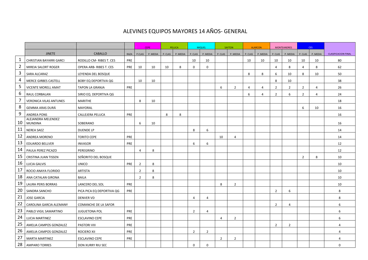## ALEVINES EQUIPOS MAYORES 14 AÑOS- GENERAL

|                |                                      |                             |      |                | <b>CEPE</b> |         | <b>PELUCA</b> |                | <b>MIQUEL</b>  |                | <b>SAYTON</b>  |         | <b>ALARCON</b> |                | <b>MONTEANDRES</b> |                | CES      |                            |
|----------------|--------------------------------------|-----------------------------|------|----------------|-------------|---------|---------------|----------------|----------------|----------------|----------------|---------|----------------|----------------|--------------------|----------------|----------|----------------------------|
|                | <b>JINETE</b>                        | <b>CABALLO</b>              | RAZA | P.CLAS         | P. MEDIA    | P. CLAS | P. MEDIA      | P. CLAS        | P. MEDIA       | P. CLAS        | P. MEDIA       | P. CLAS | P. MEDIA       | P. CLAS        | P. MEDIA           | P. CLAS        | P. MEDIA | <b>CLASIFICACION FINAL</b> |
| -1             | <b>CHRISTIAN BAYARRI GARCI</b>       | RODILLO CM-RIBES T. CES     | PRE  |                |             |         |               | 10             | 10             |                |                | 10      | 10             | 10             | 10                 | 10             | 10       | 80                         |
| $\overline{2}$ | MIREIA SALORT ROGER                  | OPERA ARB-RIBES T. CES      | PRE  | 10             | 10          | 10      | 8             | $\Omega$       | $\Omega$       |                |                |         |                | 4              | 8                  | 4              | 8        | 62                         |
| $\overline{3}$ | SARA ALCARAZ                         | LEYENDA DEL BOSQUE          |      |                |             |         |               |                |                |                |                | 8       | 8              | 6              | 10                 | 8              | 10       | 50                         |
| 4              | MERCE GIRBES CASTELL                 | <b>BOBY EQ DEPORTIVA QG</b> |      | 10             | 10          |         |               |                |                |                |                |         |                | 8              | 10                 |                |          | 38                         |
| 5              | <b>VICENTE MORELL AMAT</b>           | <b>TAPON LA GRANJA</b>      | PRE  |                |             |         |               |                |                | 6              | $\overline{2}$ | 4       | 4              | $\overline{2}$ | $\overline{2}$     | $\overline{2}$ | 4        | 26                         |
| 6              | RAUL CORBALAN                        | SIRIO EQ. DEPORTIVA QG      |      |                |             |         |               |                |                |                |                | 6       | 4              | $\overline{2}$ | 6                  | $\overline{2}$ | 4        | 24                         |
| $\overline{7}$ | VERONICA VILAS ANTUNES               | <b>MARITHE</b>              |      | 8              | 10          |         |               |                |                |                |                |         |                |                |                    |                |          | 18                         |
| 8              | <b>GEMMA ARAS DURÁ</b>               | MAYORAL                     |      |                |             |         |               |                |                |                |                |         |                |                |                    | 6              | 10       | 16                         |
| 9              | <b>ANDREA PONS</b>                   | <b>CALLEJERA PELUCA</b>     | PRE  |                |             | 8       | 8             |                |                |                |                |         |                |                |                    |                |          | 16                         |
| 10             | ALEJANDRA MELENDEZ<br><b>MUNDINA</b> | SOBERANO                    |      | 6              | 10          |         |               |                |                |                |                |         |                |                |                    |                |          | 16                         |
| 11             | <b>NEREA SAEZ</b>                    | <b>DUENDE LP</b>            |      |                |             |         |               | 8              | 6              |                |                |         |                |                |                    |                |          | 14                         |
| 12             | ANDREA MORENO                        | <b>TORITO CEPE</b>          | PRE  |                |             |         |               |                |                | 10             | 4              |         |                |                |                    |                |          | 14                         |
| 13             | <b>EDUARDO BELLVER</b>               | <b>INVASOR</b>              | PRE  |                |             |         |               | 6              | 6              |                |                |         |                |                |                    |                |          | 12                         |
| 14             | PAULA PEREZ PICAZO                   | PEREGRINO                   |      | $\overline{4}$ | 8           |         |               |                |                |                |                |         |                |                |                    |                |          | 12                         |
| 15             | <b>CRISTINA JUAN TISSEN</b>          | SEÑORITO DEL BOSQUE         |      |                |             |         |               |                |                |                |                |         |                |                |                    | $\overline{2}$ | 8        | 10                         |
| 16             | <b>LUCIA GALVIS</b>                  | <b>UNICO</b>                | PRE  | $\overline{2}$ | 8           |         |               |                |                |                |                |         |                |                |                    |                |          | 10                         |
| 17             | ROCIO ANAYA FLORIDO                  | <b>ARTISTA</b>              |      | $\overline{2}$ | 8           |         |               |                |                |                |                |         |                |                |                    |                |          | 10                         |
| 18             | ANA CATALAN GIRONA                   | <b>BAILA</b>                |      | $\overline{2}$ | 8           |         |               |                |                |                |                |         |                |                |                    |                |          | 10                         |
| 19             | <b>LAURA PERIS BORRAS</b>            | LANCERO DEL SOL             | PRE  |                |             |         |               |                |                | 8              | $\overline{2}$ |         |                |                |                    |                |          | 10                         |
| 20             | SANDRA SANCHO                        | PICA PICA EQ DEPORTIVA QG   | PRE  |                |             |         |               |                |                |                |                |         |                | $\overline{2}$ | 6                  |                |          | 8                          |
| 21             | <b>JOSE GARCIA</b>                   | <b>DENVER VD</b>            |      |                |             |         |               | $\overline{4}$ | 4              |                |                |         |                |                |                    |                |          | 8                          |
| 22             | CAROLINA GARCIA ALEMANY              | COMANCHE DE LA SAFOR        |      |                |             |         |               |                |                |                |                |         |                | $\overline{2}$ | $\overline{4}$     |                |          | 6                          |
| 23             | PABLO VIGIL SAMARTINO                | <b>JUGUETONA POL</b>        | PRE  |                |             |         |               | $\overline{2}$ | 4              |                |                |         |                |                |                    |                |          | 6                          |
| 24             | <b>LUCIA MARTINEZ</b>                | <b>ESCLAVINO CEPE</b>       | PRE  |                |             |         |               |                |                | 4              | $\overline{2}$ |         |                |                |                    |                |          | 6                          |
| 25             | AMELIA CAMPOS GONZALEZ               | PASTORI VIII                | PRE  |                |             |         |               |                |                |                |                |         |                | $\overline{2}$ | $\overline{2}$     |                |          | $\overline{4}$             |
| 26             | AMELIA CAMPOS GONZALEZ               | <b>ROCIERO XII</b>          | PRE  |                |             |         |               | $\overline{2}$ | $\overline{2}$ |                |                |         |                |                |                    |                |          | 4                          |
| 27             | <b>MARTA MARTINEZ</b>                | <b>ESCLAVINO CEPE</b>       | PRE  |                |             |         |               |                |                | $\overline{2}$ | $\overline{2}$ |         |                |                |                    |                |          | $\overline{4}$             |
| 28             | <b>AMPARO TORRES</b>                 | DON XURRY RIU SEC           |      |                |             |         |               | $\mathbf 0$    | $\mathbf 0$    |                |                |         |                |                |                    |                |          | $\mathbf 0$                |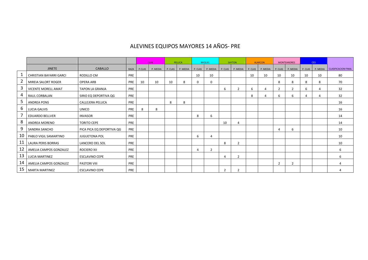# ALEVINES EQUIPOS MAYORES 14 AÑOS- PRE

|    |                                |                           |      |        | <b>CEPE</b> |         | PELUCA   |                | <b>MIQUEL</b>  |               | <b>SAYTON</b>  |         | <b>ALARCON</b> |                | <b>MONTEANDRES</b> |         | CES      |                            |
|----|--------------------------------|---------------------------|------|--------|-------------|---------|----------|----------------|----------------|---------------|----------------|---------|----------------|----------------|--------------------|---------|----------|----------------------------|
|    | <b>JINETE</b>                  | <b>CABALLO</b>            | RAZA | P.CLAS | P. MEDIA    | P. CLAS | P. MEDIA | P. CLAS        | P. MEDIA       | P. CLAS       | P. MEDIA       | P. CLAS | P. MEDIA       | P. CLAS        | P. MEDIA           | P. CLAS | P. MEDIA | <b>CLASIFICACION FINAL</b> |
|    | <b>CHRISTIAN BAYARRI GARCI</b> | RODILLO CM                | PRE  |        |             |         |          | 10             | 10             |               |                | 10      | 10             | 10             | 10                 | 10      | 10       | 80                         |
| 2  | MIREIA SALORT ROGER            | <b>OPERA ARB</b>          | PRE  | 10     | 10          | 10      | 8        | $\Omega$       | 0              |               |                |         |                | 8              | 8                  | 8       | 8        | 70                         |
| 3  | <b>VICENTE MORELL AMAT</b>     | <b>TAPON LA GRANJA</b>    | PRE  |        |             |         |          |                |                | 6             | 2              | 6       | 4              | $\overline{2}$ | 2                  | 6       | 4        | 32                         |
|    | RAUL CORBALAN                  | SIRIO EQ DEPORTIVA QG     | PRE  |        |             |         |          |                |                |               |                | 8       |                | 6              | 6                  | Δ       | 4        | 32                         |
|    | <b>ANDREA PONS</b>             | CALLEJERA PELUCA          | PRE  |        |             | 8       | 8        |                |                |               |                |         |                |                |                    |         |          | 16                         |
| b  | LUCIA GALVIS                   | <b>UNICO</b>              | PRE  | 8      | 8           |         |          |                |                |               |                |         |                |                |                    |         |          | 16                         |
|    | <b>EDUARDO BELLVER</b>         | <b>INVASOR</b>            | PRE  |        |             |         |          | 8              | 6              |               |                |         |                |                |                    |         |          | 14                         |
| 8  | <b>ANDREA MORENO</b>           | <b>TORITO CEPE</b>        | PRE  |        |             |         |          |                |                | 10            | 4              |         |                |                |                    |         |          | 14                         |
| 9  | SANDRA SANCHO                  | PICA PICA EQ DEPORTIVA QG | PRE  |        |             |         |          |                |                |               |                |         |                | Δ              | 6                  |         |          | 10                         |
| 10 | <b>PABLO VIGIL SAMARTINO</b>   | <b>JUGUETONA POL</b>      | PRE  |        |             |         |          | 6              | Δ              |               |                |         |                |                |                    |         |          | 10                         |
| 11 | <b>LAURA PERIS BORRAS</b>      | LANCERO DEL SOL           | PRE  |        |             |         |          |                |                | 8             | 2              |         |                |                |                    |         |          | 10                         |
| 12 | AMELIA CAMPOS GONZALEZ         | <b>ROCIERO XII</b>        | PRE  |        |             |         |          | $\overline{4}$ | $\overline{2}$ |               |                |         |                |                |                    |         |          | 6                          |
| 13 | <b>LUCIA MARTINEZ</b>          | <b>ESCLAVINO CEPE</b>     | PRE  |        |             |         |          |                |                | Δ             | $\overline{2}$ |         |                |                |                    |         |          | 6                          |
| 14 | AMELIA CAMPOS GONZALEZ         | <b>PASTORI VIII</b>       | PRE  |        |             |         |          |                |                |               |                |         |                | $\overline{2}$ | 2                  |         |          |                            |
|    | 15 MARTA MARTINEZ              | <b>ESCLAVINO CEPE</b>     | PRE  |        |             |         |          |                |                | $\mathcal{P}$ | $\mathcal{P}$  |         |                |                |                    |         |          |                            |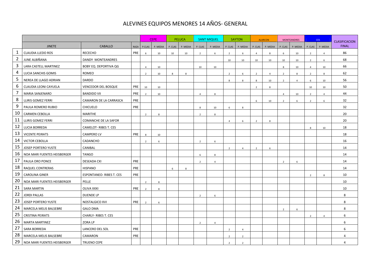## ALEVINES EQUIPOS MENORES 14 AÑOS- GENERAL

|                |                             |                                 |      |                | <b>CEPE</b> |         | <b>PELUCA</b> |                | <b>SANT MIQUEL</b> |                | <b>SAYTON</b>  |                 | <b>ALARCON</b> |                | <b>MONTEANDRES</b> |                | CES <sup>1</sup> | <b>CLASIFICACION</b> |
|----------------|-----------------------------|---------------------------------|------|----------------|-------------|---------|---------------|----------------|--------------------|----------------|----------------|-----------------|----------------|----------------|--------------------|----------------|------------------|----------------------|
|                | <b>JINETE</b>               | <b>CABALLO</b>                  | RAZA | P.CLAS         | P. MEDIA    | P. CLAS | P. MEDIA      | P. CLAS        | P. MEDIA           | P. CLAS        | P. MEDIA       | P. CLAS         | P. MEDIA       | P. CLAS        | P. MEDIA           | P. CLAS        | P. MEDIA         | <b>FINAL</b>         |
| $\mathbf{1}$   | <b>CLAUDIA LLEDO ROS</b>    | <b>RECECHO</b>                  | PRE  | 6              | 10          | 10      | 10            | $\overline{2}$ | 6                  | 2              | 6              | $\overline{4}$  | 8              | 6              | 10                 | $\overline{2}$ | $\overline{4}$   | 86                   |
| $\overline{2}$ | JUNE ALBIÑANA               | DANDY MONTEANDRES               |      |                |             |         |               |                |                    | 10             | 10             | 10              | 10             | 10             | 10                 | $\overline{2}$ | 6                | 68                   |
| 3              | LARA CASTELL MARTINEZ       | BOBY EQ. DEPORTIVA QG           |      | $\overline{4}$ | 10          |         |               | 10             | 10                 |                |                |                 |                | 8              | 10                 | $\overline{4}$ | 10               | 66                   |
| 4              | LUCIA SANCHIS GOMIS         | <b>ROMEO</b>                    |      | $\overline{2}$ | 10          | 8       | 8             |                |                    | $\overline{2}$ | 6              | $\overline{2}$  | $\overline{4}$ | $\overline{2}$ | 8                  | $\overline{2}$ | 8                | 62                   |
| 5              | NEREA DE LLAGO ADRIAN       | <b>DARDO</b>                    |      |                |             |         |               |                |                    | 8              | 8              | 8               | 10             | $\overline{2}$ | $\overline{4}$     | $\,6\,$        | 10               | 56                   |
| 6              | CLAUDIA LEONI CAYUELA       | <b>VENCEDOR DEL BOSQUE</b>      | PRE  | 10             | 10          |         |               |                |                    |                |                | $\overline{2}$  | 8              |                |                    | 10             | 10               | 50                   |
| $\overline{7}$ | MARIA SANJENARO             | <b>BANDIDO VII</b>              | PRE  | $\overline{2}$ | 10          |         |               | $\overline{a}$ | 8                  |                |                |                 |                | $\overline{a}$ | 10                 | $\overline{2}$ | $\overline{4}$   | 44                   |
| 8              | <b>LLIRIS GOMEZ FERRI</b>   | CAMARON DE LA CARRASCA          | PRE  |                |             |         |               |                |                    |                |                | $6\overline{6}$ | 10             | $\overline{2}$ | 6                  | $\overline{2}$ | 6                | 32                   |
| 9              | PAULA ROMERO RUBIO          | <b>CHICUELO</b>                 | PRE  |                |             |         |               | 8              | 10                 | 6              | 8              |                 |                |                |                    |                |                  | 32                   |
| 10             | <b>CARMEN CEBOLLA</b>       | <b>MARITHE</b>                  |      | $\overline{2}$ | 8           |         |               | $\overline{2}$ | 8                  |                |                |                 |                |                |                    |                |                  | 20                   |
| 11             | LLIRIS GOMEZ FERRI          | COMANCHE DE LA SAFOR            |      |                |             |         |               |                |                    | $\overline{4}$ | 6              | $\overline{2}$  | 8              |                |                    |                |                  | 20                   |
| 12             | LUCIA BORREDA               | CAMELOT-RIBES T. CES            |      |                |             |         |               |                |                    |                |                |                 |                |                |                    | 8              | 10               | 18                   |
| 13             | <b>VICENTE PEIRATS</b>      | <b>CAMPERO LV</b>               | PRE  | 8              | 10          |         |               |                |                    |                |                |                 |                |                |                    |                |                  | 18                   |
| 14             | <b>VICTOR CEBOLLA</b>       | CADANCHO                        |      | $\overline{2}$ | 6           |         |               | $\overline{2}$ | 6                  |                |                |                 |                |                |                    |                |                  | 16                   |
| 15             | <b>JOSEP PORTERO YUSTE</b>  | CANIBAL                         |      |                |             |         |               |                |                    | 2              | $\overline{4}$ | $\overline{2}$  | 6              |                |                    |                |                  | 14                   |
| 16             | NOA MARI FUENTES HEISBERGER | <b>TANGO</b>                    |      |                |             |         |               | 6              | 8                  |                |                |                 |                |                |                    |                |                  | 14                   |
| 17             | PAULA ORO PONCE             | <b>DESEADA CXI</b>              | PRE  |                |             |         |               | $\overline{2}$ | $\overline{4}$     |                |                |                 |                | $\overline{2}$ | 6                  |                |                  | 14                   |
| 18             | <b>RAQUEL CONTRERAS</b>     | <b>HISPANO</b>                  | PRE  |                |             | 6       | 8             |                |                    |                |                |                 |                |                |                    |                |                  | 14                   |
| 19             | <b>CAROLINA GINER</b>       | <b>ESPONTANEO- RIBES T. CES</b> | PRE  |                |             |         |               |                |                    |                |                |                 |                |                |                    | $\overline{2}$ | 8                | 10                   |
| 20             | NOA MARI FUENTES HEISBERGER | PELLE                           |      | $\overline{2}$ | 8           |         |               |                |                    |                |                |                 |                |                |                    |                |                  | 10                   |
| 21             | <b>SARA MARTIN</b>          | <b>OLIVA XXXI</b>               | PRE  | $\overline{2}$ | 8           |         |               |                |                    |                |                |                 |                |                |                    |                |                  | 10                   |
| 22             | <b>JORDI PALLAS</b>         | <b>DUENDE LP</b>                |      |                |             |         |               | $\overline{2}$ | 6                  |                |                |                 |                |                |                    |                |                  | 8                    |
| 23             | <b>JOSEP PORTERO YUSTE</b>  | NOSTALGICO XVI                  | PRE  | $\overline{2}$ | 6           |         |               |                |                    |                |                |                 |                |                |                    |                |                  | 8                    |
| 24             | MARCELA MELIS BALSEBRE      | <b>GALO DMA</b>                 |      |                |             |         |               |                |                    |                |                |                 |                | $\overline{2}$ | $6 \overline{6}$   |                |                  | 8                    |
| 25             | <b>CRISTINA PEIRATS</b>     | CHARLY-RIBES T. CES             |      |                |             |         |               |                |                    |                |                |                 |                |                |                    | $\overline{2}$ | $\overline{4}$   | 6                    |
| 26             | <b>MARTA MARTINEZ</b>       | ZORA LP                         |      |                |             |         |               | $\overline{2}$ | $\overline{4}$     |                |                |                 |                |                |                    |                |                  | 6                    |
| 27             | <b>SARA BORREDA</b>         | LANCERO DEL SOL                 | PRE  |                |             |         |               |                |                    | $\overline{2}$ | $\overline{4}$ |                 |                |                |                    |                |                  | 6                    |
| 28             | MARCELA MELIS BALSEBRE      | CAMARON                         | PRE  |                |             |         |               |                |                    | $\overline{2}$ | $\overline{2}$ |                 |                |                |                    |                |                  | 4                    |
| 29             | NOA MARI FUENTES HEISBERGER | <b>TRUENO CEPE</b>              |      |                |             |         |               |                |                    | 2              | $\overline{2}$ |                 |                |                |                    |                |                  | $\overline{4}$       |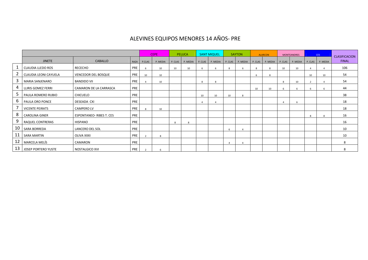# ALEVINES EQUIPOS MENORES 14 AÑOS- PRE

|    |                            |                                 |      |        | <b>CEPE</b> |         | PELUCA   |          | <b>SANT MIQUEL</b> |         | <b>SAYTON</b> |         | <b>ALARCON</b> |         | <b>MONTEANDRES</b> |                | CES <sup>1</sup> | <b>CLASIFICACION</b> |
|----|----------------------------|---------------------------------|------|--------|-------------|---------|----------|----------|--------------------|---------|---------------|---------|----------------|---------|--------------------|----------------|------------------|----------------------|
|    | <b>JINETE</b>              | <b>CABALLO</b>                  | RAZA | P.CLAS | P. MEDIA    | P. CLAS | P. MEDIA | P. CLAS  | P. MEDIA           | P. CLAS | P. MEDIA      | P. CLAS | P. MEDIA       | P. CLAS | P. MEDIA           | P. CLAS        | P. MEDIA         | <b>FINAL</b>         |
|    | <b>CLAUDIA LLEDO ROS</b>   | RECECHO                         | PRE  | 6      | 10          | 10      | 10       |          | 6                  |         |               | 8       | -8             | 10      | 10                 |                |                  | 106                  |
|    | CLAUDIA LEONI CAYUELA      | <b>VENCEDOR DEL BOSQUE</b>      | PRE  | 10     | 10          |         |          |          |                    |         |               | 6       | 8              |         |                    | 10             | 10               | 54                   |
|    | <b>MARIA SANJENARO</b>     | <b>BANDIDO VII</b>              | PRE  |        | 10          |         |          | 8        | 8                  |         |               |         |                | 8       | 10                 | $\overline{2}$ |                  | 54                   |
|    | LLIRIS GOMEZ FERRI         | CAMARON DE LA CARRASCA          | PRE  |        |             |         |          |          |                    |         |               | 10      | 10             | -6      | 6                  | 6              |                  | 44                   |
|    | PAULA ROMERO RUBIO         | <b>CHICUELO</b>                 | PRE  |        |             |         |          | 10       | 10                 | 10      | 8             |         |                |         |                    |                |                  | 38                   |
| о  | PAULA ORO PONCE            | DESEADA CXI                     | PRE  |        |             |         |          | $\Delta$ |                    |         |               |         |                |         | 6                  |                |                  | 18                   |
|    | <b>VICENTE PEIRATS</b>     | <b>CAMPERO LV</b>               | PRE  |        | 10          |         |          |          |                    |         |               |         |                |         |                    |                |                  | 18                   |
| 8  | <b>CAROLINA GINER</b>      | <b>ESPONTANEO- RIBES T. CES</b> | PRE  |        |             |         |          |          |                    |         |               |         |                |         |                    | 8              | $\mathbf{R}$     | 16                   |
| 9  | RAQUEL CONTRERAS           | HISPANO                         | PRE  |        |             | 8       | 8        |          |                    |         |               |         |                |         |                    |                |                  | 16                   |
| 10 | <b>SARA BORREDA</b>        | LANCERO DEL SOL                 | PRE  |        |             |         |          |          |                    |         |               |         |                |         |                    |                |                  | 10                   |
| 11 | <b>SARA MARTIN</b>         | OLIVA XXXI                      | PRE  |        |             |         |          |          |                    |         |               |         |                |         |                    |                |                  | 10                   |
| 12 | MARCELA MELÍS              | CAMARON                         | PRE  |        |             |         |          |          |                    |         |               |         |                |         |                    |                |                  | 8                    |
| 13 | <b>JOSEP PORTERO YUSTE</b> | NOSTALGICO XVI                  | PRE  |        |             |         |          |          |                    |         |               |         |                |         |                    |                |                  | 8                    |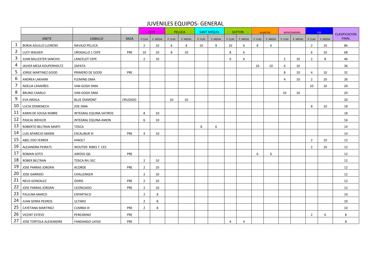#### JUVENILES EQUIPOS- GENERAL

|                |                             |                                |         |                | <b>CEPE</b> |         | <b>PELUCA</b> |         | <b>SANT MIQUEL</b> |         | <b>SAYTON</b> |         | <b>ALARCON</b> |                | <b>MONTEANDRES</b> |                | CES <sup>1</sup> | <b>CLASIFICACION</b> |
|----------------|-----------------------------|--------------------------------|---------|----------------|-------------|---------|---------------|---------|--------------------|---------|---------------|---------|----------------|----------------|--------------------|----------------|------------------|----------------------|
|                | <b>JINETE</b>               | <b>CABALLO</b>                 | RAZA    | P.CLAS         | P. MEDIA    | P. CLAS | P. MEDIA      | P. CLAS | P. MEDIA           | P. CLAS | P. MEDIA      | P. CLAS | P. MEDIA       | P. CLAS        | P. MEDIA           | P. CLAS        | P. MEDIA         | <b>FINAL</b>         |
| 1              | <b>BORJA AGULLO LLORENS</b> | NAVAJO PELUCA                  |         | $\overline{2}$ | 10          | 6       | 8             | 10      | 8                  | 10      | 6             | 8       | 6              |                |                    | $\overline{2}$ | 10               | 86                   |
| $\overline{2}$ | <b>LUCY WALKER</b>          | UROGALLO 1 CEPE                | PRE     | 10             | 10          | 8       | 10            |         |                    | 8       | 6             |         |                |                |                    | 6              | 10               | 68                   |
| $\overline{3}$ | JUAN BALLESTER SANCHIS      | LANCELOT CEPE                  |         | $\overline{2}$ | 10          |         |               |         |                    | 6       | 6             |         |                | $\overline{2}$ | 10                 | $\overline{2}$ | 8                | 46                   |
| 4              | JAVIER MESA KOUPERHOLTZ     | ZAPATA                         |         |                |             |         |               |         |                    |         |               | 10      | 10             | 6              | 10                 |                |                  | 36                   |
| 5              | JORGE MARTINEZ GOOD         | PRIMERO DE GOOD                | PRE     |                |             |         |               |         |                    |         |               |         |                | 8              | 10                 | $\overline{4}$ | 10               | 32                   |
| 6              | ANDREA LAKHANI              | <b>FLEMING DMA</b>             |         |                |             |         |               |         |                    |         |               |         |                | 4              | 10                 | $\overline{2}$ | 10               | 26                   |
| 7              | NOELIA CAMAÑES              | VAN GOGH DMA                   |         |                |             |         |               |         |                    |         |               |         |                |                |                    | 10             | 10               | 20                   |
| 8              | <b>BRUNO CAMILO</b>         | VAN GOGH DMA                   |         |                |             |         |               |         |                    |         |               |         |                | 10             | 10                 |                |                  | 20                   |
| 9              | <b>EVA ARDILA</b>           | <b>BLUE DIAMONT</b>            | CRUZADO |                |             | 10      | 10            |         |                    |         |               |         |                |                |                    |                |                  | 20                   |
| 10             | LUCIA DOMENECH              | ZOE DMA                        |         |                |             |         |               |         |                    |         |               |         |                |                |                    | 8              | 10               | 18                   |
| 11             | KARIN DE SOUSA NOBRE        | <b>INTEGRAL EQUINA SATIROS</b> |         | 8              | 10          |         |               |         |                    |         |               |         |                |                |                    |                |                  | 18                   |
| 12             | PASCAL BIEHLER              | <b>INTEGRAL EQUINA AMON</b>    |         | 6              | 10          |         |               |         |                    |         |               |         |                |                |                    |                |                  | 16                   |
| 13             | ROBERTO BELTRAN MARTI       | <b>TOSCA</b>                   |         |                |             |         |               | 8       | 6                  |         |               |         |                |                |                    |                |                  | 14                   |
| 14             | LUIS APARICIO MARIN         | <b>EXCALIBUR III</b>           | PRE     | 4              | 10          |         |               |         |                    |         |               |         |                |                |                    |                |                  | 14                   |
| 15             | ABEL EDO FERRER             | <b>HINOLT</b>                  |         |                |             |         |               |         |                    |         |               |         |                |                |                    | $\overline{2}$ | 10               | 12                   |
| 16             | ALEJANDRA PEIRATS           | <b>WOUTER- RIBES T. CES</b>    |         |                |             |         |               |         |                    |         |               |         |                |                |                    | $\overline{2}$ | 10               | 12                   |
| 17             | ROMAN SOTO                  | AIROSO QG                      | PRE     |                |             |         |               |         |                    |         |               | 6       | 6              |                |                    |                |                  | 12                   |
| 18             | <b>ROBER BELTRAN</b>        | <b>TOSCA RIU SEC</b>           |         | $\overline{2}$ | 10          |         |               |         |                    |         |               |         |                |                |                    |                |                  | 12                   |
| 19             | JOSE PARRAS JORDÁN          | <b>ACORDE</b>                  | PRE     | $\overline{2}$ | 10          |         |               |         |                    |         |               |         |                |                |                    |                |                  | 12                   |
| 20             | <b>JOSE GARRIDO</b>         | CHALLENGER                     |         | $\overline{2}$ | 10          |         |               |         |                    |         |               |         |                |                |                    |                |                  | $12\,$               |
| 21             | <b>NEUS GONZALEZ</b>        | <b>OSIRIS</b>                  | PRE     | $\overline{2}$ | 10          |         |               |         |                    |         |               |         |                |                |                    |                |                  | 12                   |
| 22             | JOSE PARRAS JORDÁN          | <b>LICENCIADO</b>              | PRE     | $\overline{2}$ | 10          |         |               |         |                    |         |               |         |                |                |                    |                |                  | 12                   |
| 23             | PAULINA MARCO               | ESPARTACO                      |         | $\overline{2}$ | 8           |         |               |         |                    |         |               |         |                |                |                    |                |                  | 10                   |
| 24             | <b>JUAN SERRA PEDROS</b>    | <b>ULTIMO</b>                  |         | $\overline{2}$ | 8           |         |               |         |                    |         |               |         |                |                |                    |                |                  | 10                   |
| 25             | CAYETANA MARTINEZ           | <b>CUMBIA III</b>              | PRE     | $\overline{2}$ | 8           |         |               |         |                    |         |               |         |                |                |                    |                |                  | 10                   |
| 26             | <b>VICENT ESTEVE</b>        | PEREGRINO                      | PRE     |                |             |         |               |         |                    |         |               |         |                |                |                    | $\overline{2}$ | 6                | 8                    |
| 27             | JOSE TORTOLA ALEIXANDRE     | <b>FANDANGO LAYGE</b>          | PRE     |                |             |         |               |         |                    | 4       | 4             |         |                |                |                    |                |                  | 8                    |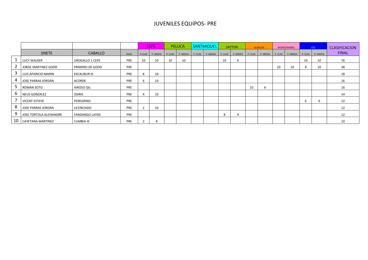#### JUVENILES EQUIPOS- PRE

|    |                         |                       |            |                | <b>CEPE</b>     |         | PELUCA   |         | <b>SANTMIQUEL</b> |         | <b>SAYTON</b> |         | <b>ALARCON</b> |         | <b>MONTEANDRES</b> |    | CES              | <b>CLASIFICACION</b> |
|----|-------------------------|-----------------------|------------|----------------|-----------------|---------|----------|---------|-------------------|---------|---------------|---------|----------------|---------|--------------------|----|------------------|----------------------|
|    | <b>JINETE</b>           | <b>CABALLO</b>        | RAZA       |                | P.CLAS P. MEDIA | P. CLAS | P. MEDIA | P. CLAS | P. MEDIA          | P. CLAS | P. MEDIA      | P. CLAS | P. MEDIA       | P. CLAS | P. MEDIA           |    | P. CLAS P. MEDIA | <b>FINAL</b>         |
|    | LUCY WALKER             | UROGALLO 1 CEPE       | PRE        | 10             | 10              | 10      | 10       |         |                   | 10      | 6             |         |                |         |                    | 10 | 10               | 76                   |
|    | JORGE MARTINEZ GOOD     | PRIMERO DE GOOD       | PRE        |                |                 |         |          |         |                   |         |               |         |                | 10      | 10                 | 8  | 10               | 38                   |
|    | LUIS APARICIO MARIN     | EXCALIBUR III         | PRE        | 8              | 10              |         |          |         |                   |         |               |         |                |         |                    |    |                  | 18                   |
|    | JOSE PARRAS JORDÁN      | ACORDE                | PRE        | 6              | 10              |         |          |         |                   |         |               |         |                |         |                    |    |                  | 16                   |
|    | ROMAN SOTO              | AIROSO QG             | <b>PRE</b> |                |                 |         |          |         |                   |         |               | 10      | 6              |         |                    |    |                  | 16                   |
|    | <b>NEUS GONZALEZ</b>    | <b>OSIRIS</b>         | PRE        | 4              | 10              |         |          |         |                   |         |               |         |                |         |                    |    |                  | 14                   |
|    | <b>VICENT ESTEVE</b>    | PEREGRINO             | PRE        |                |                 |         |          |         |                   |         |               |         |                |         |                    | 6  | b                | 12                   |
|    | JOSE PARRAS JORDÁN      | LICENCIADO            | PRE        | $\overline{2}$ | 10              |         |          |         |                   |         |               |         |                |         |                    |    |                  | 12                   |
|    | JOSE TORTOLA ALEIXANDRE | <b>FANDANGO LAYGE</b> | PRE        |                |                 |         |          |         |                   | 8       | 4             |         |                |         |                    |    |                  | 12                   |
| 10 | I CAYETANA MARTINEZ     | <b>CUMBIA III</b>     | <b>PRE</b> |                | 8               |         |          |         |                   |         |               |         |                |         |                    |    |                  | 10                   |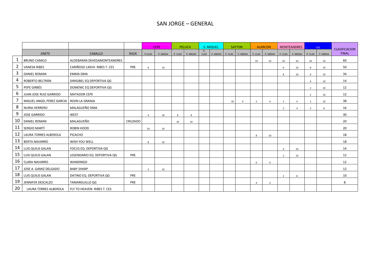#### SAN JORGE – GENERAL

|                |                              |                               |         |                | <b>CEPE</b> |         | <b>PELUCA</b> |            | S. MIQUEL |         | <b>SAYTON</b> |                | <b>ALARCON</b> |                 | <b>MONTEANDRES</b> |                | CES <sup>1</sup> | <b>CLASIFICACION</b> |
|----------------|------------------------------|-------------------------------|---------|----------------|-------------|---------|---------------|------------|-----------|---------|---------------|----------------|----------------|-----------------|--------------------|----------------|------------------|----------------------|
|                | <b>JINETE</b>                | <b>CABALLO</b>                | RAZA    | P.CLAS         | P. MEDIA    | P. CLAS | P. MEDIA      | P.<br>CLAS | P. MEDIA  | P. CLAS | P. MEDIA      | P. CLAS        | P. MEDIA       | P. CLAS         | P. MEDIA           | P. CLAS        | P. MEDIA         | <b>FINAL</b>         |
| 1              | <b>BRUNO CAMILO</b>          | ALDEBARAN DEHESAMONTEANDRES   |         |                |             |         |               |            |           |         |               | 10             | 10             | 10              | 10                 | 10             | 10               | 60                   |
| $\overline{2}$ | <b>VANESA RIBES</b>          | CARIÑOSO LXXVII- RIBES T. CES | PRE     | 6              | 10          |         |               |            |           |         |               |                |                | $6\overline{6}$ | 10                 | 8              | 10               | 50                   |
| 3              | <b>DANIEL ROMAN</b>          | <b>EMMA DMA</b>               |         |                |             |         |               |            |           |         |               |                |                | 8               | 10                 | 6              | 10               | 34                   |
| 4              | ROBERTO BELTRÁN              | DIRIGIBEL EQ DEPORTIVA QG     |         |                |             |         |               |            |           |         |               |                |                |                 |                    | $\overline{4}$ | 10               | 14                   |
| 5              | PEPE GIRBÉS                  | DOMENIC EQ DEPORTIVA QG       |         |                |             |         |               |            |           |         |               |                |                |                 |                    | $\overline{2}$ | 10               | 12                   |
| 6              | JUAN JOSE RUIZ GARRIDO       | <b>MATADOR CEPE</b>           |         |                |             |         |               |            |           |         |               |                |                |                 |                    | $\overline{2}$ | 10               | 12                   |
| 7              | MIGUEL ANGEL PEREZ GARCIA    | ROJIN LA GRANJA               |         |                |             |         |               |            |           | 10      | $\Delta$      | $\overline{2}$ | $\Delta$       | $\overline{2}$  | $\Delta$           | $\overline{2}$ | 10               | 38                   |
| 8              | <b>NURIA HERRERO</b>         | MALAGUEÑO DMA                 |         |                |             |         |               |            |           |         |               |                |                | 2               | $\overline{4}$     | $\overline{2}$ | 8                | 16                   |
| 9              | <b>JOSE GARRIDO</b>          | <b>WEST</b>                   |         | $\mathbf{A}$   | 10          | 8       | -8            |            |           |         |               |                |                |                 |                    |                |                  | 30                   |
| 10             | <b>DANIEL ROMAN</b>          | MALAGUEÑO                     | CRUZADO |                |             | 10      | 10            |            |           |         |               |                |                |                 |                    |                |                  | 20                   |
| 11             | SERGIO MARTÍ                 | ROBIN HOOD                    |         | 10             | 10          |         |               |            |           |         |               |                |                |                 |                    |                |                  | 20                   |
| 12             | <b>LAURA TORRES ALBEROLA</b> | PICACHO                       |         |                |             |         |               |            |           |         |               | 8              | 10             |                 |                    |                |                  | 18                   |
| 13             | <b>BERTA NAVARRO</b>         | WISH YOU WELL                 |         | 8              | 10          |         |               |            |           |         |               |                |                |                 |                    |                |                  | 18                   |
| 14             | LUIS QUILIS GALAN            | FOCUS EQ. DEPORTIVA QG        |         |                |             |         |               |            |           |         |               |                |                | $\mathbf{A}$    | 10                 |                |                  | 14                   |
| 15             | LUIS QUILIS GALAN            | LEGENDARIO EQ. DEPORTIVA QG   | PRE     |                |             |         |               |            |           |         |               |                |                | 2               | 10                 |                |                  | 12                   |
|                | 16   CLARA NAVARRO           | WANDINGO                      |         |                |             |         |               |            |           |         |               | 6              | 6              |                 |                    |                |                  | 12                   |
| 17             | JOSE A. GAMIZ DELGADO        | <b>BABY SHARP</b>             |         | $\overline{2}$ | 10          |         |               |            |           |         |               |                |                |                 |                    |                |                  | 12                   |
| 18             | LUIS QUILIS GALAN            | DATINO EQ. DEPORTIVA QG       | PRE     |                |             |         |               |            |           |         |               |                |                | $\overline{2}$  | $\mathbf{R}$       |                |                  | 10                   |
| 19             | JENNIFER DESCALZO            | <b>TAMARGUILLO QG</b>         | PRE     |                |             |         |               |            |           |         |               | $\overline{4}$ | $\overline{4}$ |                 |                    |                |                  | 8                    |
| 20             | LAURA TORRES ALBEROLA        | FLY TO HEAVEN- RIBES T. CES   |         |                |             |         |               |            |           |         |               |                |                |                 |                    |                |                  |                      |